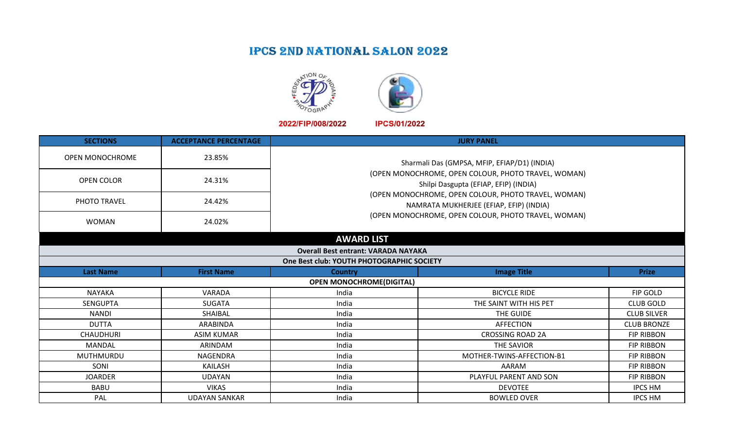## **IPCS 2ND NATIONAL SALON 2022**





2022/FIP/008/2022

**IPCS/01/2022** 

| <b>SECTIONS</b>                           | <b>ACCEPTANCE PERCENTAGE</b> |                                                                                              | <b>JURY PANEL</b>                                                                                                                                     |                    |  |  |  |
|-------------------------------------------|------------------------------|----------------------------------------------------------------------------------------------|-------------------------------------------------------------------------------------------------------------------------------------------------------|--------------------|--|--|--|
| <b>OPEN MONOCHROME</b>                    | 23.85%                       |                                                                                              | Sharmali Das (GMPSA, MFIP, EFIAP/D1) (INDIA)                                                                                                          |                    |  |  |  |
| <b>OPEN COLOR</b>                         | 24.31%                       | (OPEN MONOCHROME, OPEN COLOUR, PHOTO TRAVEL, WOMAN)<br>Shilpi Dasgupta (EFIAP, EFIP) (INDIA) |                                                                                                                                                       |                    |  |  |  |
| PHOTO TRAVEL                              | 24.42%                       |                                                                                              | (OPEN MONOCHROME, OPEN COLOUR, PHOTO TRAVEL, WOMAN)<br>NAMRATA MUKHERJEE (EFIAP, EFIP) (INDIA)<br>(OPEN MONOCHROME, OPEN COLOUR, PHOTO TRAVEL, WOMAN) |                    |  |  |  |
| <b>WOMAN</b>                              | 24.02%                       |                                                                                              |                                                                                                                                                       |                    |  |  |  |
|                                           |                              | <b>AWARD LIST</b>                                                                            |                                                                                                                                                       |                    |  |  |  |
|                                           |                              | <b>Overall Best entrant: VARADA NAYAKA</b>                                                   |                                                                                                                                                       |                    |  |  |  |
| One Best club: YOUTH PHOTOGRAPHIC SOCIETY |                              |                                                                                              |                                                                                                                                                       |                    |  |  |  |
| <b>Last Name</b>                          | <b>First Name</b>            | <b>Country</b>                                                                               | <b>Image Title</b>                                                                                                                                    | <b>Prize</b>       |  |  |  |
|                                           |                              | <b>OPEN MONOCHROME(DIGITAL)</b>                                                              |                                                                                                                                                       |                    |  |  |  |
| <b>NAYAKA</b>                             | VARADA                       | India                                                                                        | <b>BICYCLE RIDE</b>                                                                                                                                   | FIP GOLD           |  |  |  |
| <b>SENGUPTA</b>                           | <b>SUGATA</b>                | India                                                                                        | THE SAINT WITH HIS PET                                                                                                                                | <b>CLUB GOLD</b>   |  |  |  |
| <b>NANDI</b>                              | SHAIBAL                      | India                                                                                        | THE GUIDE                                                                                                                                             | <b>CLUB SILVER</b> |  |  |  |
| <b>DUTTA</b>                              | ARABINDA                     | India                                                                                        | <b>AFFECTION</b>                                                                                                                                      | <b>CLUB BRONZE</b> |  |  |  |
| <b>CHAUDHURI</b>                          | <b>ASIM KUMAR</b>            | India                                                                                        | <b>CROSSING ROAD 2A</b>                                                                                                                               | <b>FIP RIBBON</b>  |  |  |  |
| <b>MANDAL</b>                             | ARINDAM                      | India                                                                                        | THE SAVIOR                                                                                                                                            | <b>FIP RIBBON</b>  |  |  |  |
| MUTHMURDU                                 | NAGENDRA                     | India                                                                                        | MOTHER-TWINS-AFFECTION-B1                                                                                                                             | <b>FIP RIBBON</b>  |  |  |  |
| SONI                                      | KAILASH                      | India                                                                                        | AARAM                                                                                                                                                 | <b>FIP RIBBON</b>  |  |  |  |
| <b>JOARDER</b>                            | <b>UDAYAN</b>                | India                                                                                        | PLAYFUL PARENT AND SON                                                                                                                                | <b>FIP RIBBON</b>  |  |  |  |
| <b>BABU</b>                               | <b>VIKAS</b>                 | India                                                                                        | <b>DEVOTEE</b>                                                                                                                                        | <b>IPCS HM</b>     |  |  |  |
| PAL                                       | <b>UDAYAN SANKAR</b>         | India                                                                                        | <b>BOWLED OVER</b>                                                                                                                                    | <b>IPCS HM</b>     |  |  |  |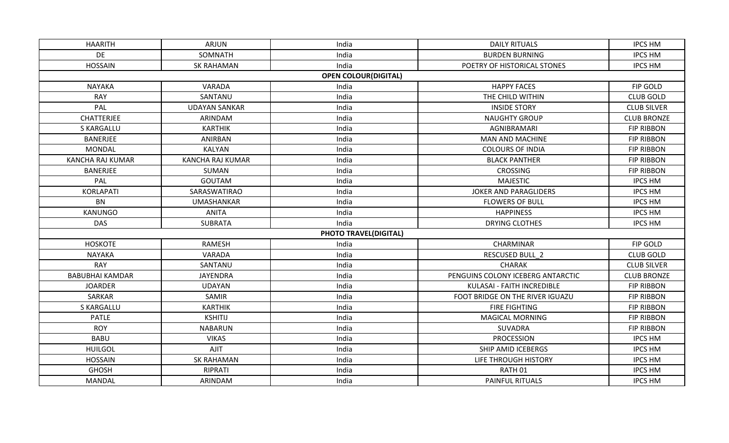| <b>HAARITH</b>         | <b>ARJUN</b>            | India                        | <b>DAILY RITUALS</b>              | <b>IPCS HM</b>     |
|------------------------|-------------------------|------------------------------|-----------------------------------|--------------------|
| <b>DE</b>              | SOMNATH                 | India                        | <b>BURDEN BURNING</b>             | <b>IPCS HM</b>     |
| <b>HOSSAIN</b>         | <b>SK RAHAMAN</b>       | India                        | POETRY OF HISTORICAL STONES       | <b>IPCS HM</b>     |
|                        |                         | <b>OPEN COLOUR(DIGITAL)</b>  |                                   |                    |
| <b>NAYAKA</b>          | VARADA                  | India                        | <b>HAPPY FACES</b>                | FIP GOLD           |
| <b>RAY</b>             | SANTANU                 | India                        | THE CHILD WITHIN                  | <b>CLUB GOLD</b>   |
| PAL                    | <b>UDAYAN SANKAR</b>    | India                        | <b>INSIDE STORY</b>               | <b>CLUB SILVER</b> |
| <b>CHATTERJEE</b>      | ARINDAM                 | India                        | <b>NAUGHTY GROUP</b>              | <b>CLUB BRONZE</b> |
| S KARGALLU             | <b>KARTHIK</b>          | India                        | AGNIBRAMARI                       | <b>FIP RIBBON</b>  |
| <b>BANERJEE</b>        | ANIRBAN                 | India                        | <b>MAN AND MACHINE</b>            | <b>FIP RIBBON</b>  |
| <b>MONDAL</b>          | KALYAN                  | India                        | <b>COLOURS OF INDIA</b>           | <b>FIP RIBBON</b>  |
| KANCHA RAJ KUMAR       | <b>KANCHA RAJ KUMAR</b> | India                        | <b>BLACK PANTHER</b>              | <b>FIP RIBBON</b>  |
| <b>BANERJEE</b>        | SUMAN                   | India                        | <b>CROSSING</b>                   | <b>FIP RIBBON</b>  |
| PAL                    | <b>GOUTAM</b>           | India                        | <b>MAJESTIC</b>                   | <b>IPCS HM</b>     |
| <b>KORLAPATI</b>       | SARASWATIRAO            | India                        | <b>JOKER AND PARAGLIDERS</b>      | <b>IPCS HM</b>     |
| <b>BN</b>              | UMASHANKAR              | India                        | <b>FLOWERS OF BULL</b>            | <b>IPCS HM</b>     |
| KANUNGO                | <b>ANITA</b>            | India                        | <b>HAPPINESS</b>                  | <b>IPCS HM</b>     |
| <b>DAS</b>             | <b>SUBRATA</b>          | India                        | DRYING CLOTHES                    | <b>IPCS HM</b>     |
|                        |                         | <b>PHOTO TRAVEL(DIGITAL)</b> |                                   |                    |
| <b>HOSKOTE</b>         | RAMESH                  | India                        | CHARMINAR                         | FIP GOLD           |
| <b>NAYAKA</b>          | VARADA                  | India                        | <b>RESCUSED BULL 2</b>            | <b>CLUB GOLD</b>   |
| <b>RAY</b>             | SANTANU                 | India                        | <b>CHARAK</b>                     | <b>CLUB SILVER</b> |
| <b>BABUBHAI KAMDAR</b> | <b>JAYENDRA</b>         | India                        | PENGUINS COLONY ICEBERG ANTARCTIC | <b>CLUB BRONZE</b> |
| <b>JOARDER</b>         | <b>UDAYAN</b>           | India                        | KULASAI - FAITH INCREDIBLE        | <b>FIP RIBBON</b>  |
| SARKAR                 | SAMIR                   | India                        | FOOT BRIDGE ON THE RIVER IGUAZU   | <b>FIP RIBBON</b>  |
| S KARGALLU             | <b>KARTHIK</b>          | India                        | FIRE FIGHTING                     | <b>FIP RIBBON</b>  |
| <b>PATLE</b>           | <b>KSHITIJ</b>          | India                        | <b>MAGICAL MORNING</b>            | <b>FIP RIBBON</b>  |
| <b>ROY</b>             | <b>NABARUN</b>          | India                        | SUVADRA                           | <b>FIP RIBBON</b>  |
| <b>BABU</b>            | <b>VIKAS</b>            | India                        | <b>PROCESSION</b>                 | <b>IPCS HM</b>     |
| <b>HUILGOL</b>         | AJIT                    | India                        | SHIP AMID ICEBERGS                | <b>IPCS HM</b>     |
| <b>HOSSAIN</b>         | <b>SK RAHAMAN</b>       | India                        | LIFE THROUGH HISTORY              | <b>IPCS HM</b>     |
| <b>GHOSH</b>           | RIPRATI                 | India                        | RATH <sub>01</sub>                | <b>IPCS HM</b>     |
| <b>MANDAL</b>          | ARINDAM                 | India                        | PAINFUL RITUALS                   | <b>IPCS HM</b>     |
|                        |                         |                              |                                   |                    |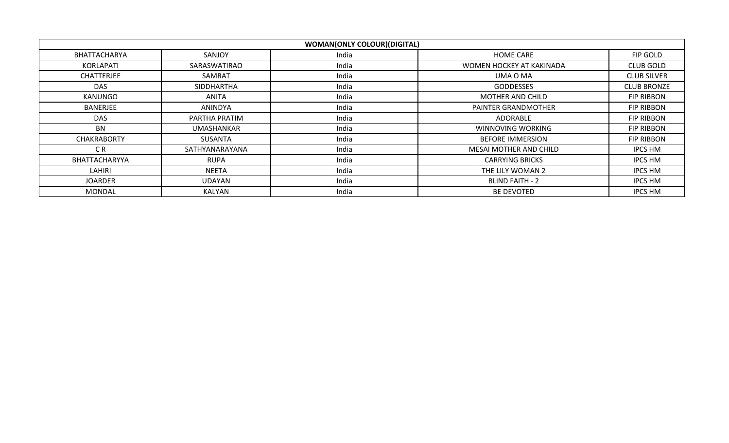|                    |                | <b>WOMAN(ONLY COLOUR)(DIGITAL)</b> |                          |                    |
|--------------------|----------------|------------------------------------|--------------------------|--------------------|
| BHATTACHARYA       | SANJOY         | India                              | <b>HOME CARE</b>         | FIP GOLD           |
| KORLAPATI          | SARASWATIRAO   | India                              | WOMEN HOCKEY AT KAKINADA | <b>CLUB GOLD</b>   |
| <b>CHATTERJEE</b>  | SAMRAT         | India                              | UMA O MA                 | <b>CLUB SILVER</b> |
| DAS                | SIDDHARTHA     | India                              | <b>GODDESSES</b>         | <b>CLUB BRONZE</b> |
| KANUNGO            | ANITA          | India                              | <b>MOTHER AND CHILD</b>  | FIP RIBBON         |
| <b>BANERJEE</b>    | ANINDYA        | India                              | PAINTER GRANDMOTHER      | FIP RIBBON         |
| <b>DAS</b>         | PARTHA PRATIM  | India                              | ADORABLE                 | FIP RIBBON         |
| BN                 | UMASHANKAR     | India                              | WINNOVING WORKING        | FIP RIBBON         |
| <b>CHAKRABORTY</b> | SUSANTA        | India                              | <b>BEFORE IMMERSION</b>  | <b>FIP RIBBON</b>  |
| C <sub>R</sub>     | SATHYANARAYANA | India                              | MESAI MOTHER AND CHILD   | <b>IPCS HM</b>     |
| BHATTACHARYYA      | <b>RUPA</b>    | India                              | <b>CARRYING BRICKS</b>   | <b>IPCS HM</b>     |
| LAHIRI             | NEETA          | India                              | THE LILY WOMAN 2         | IPCS HM            |
| <b>JOARDER</b>     | UDAYAN         | India                              | <b>BLIND FAITH - 2</b>   | IPCS HM            |
| <b>MONDAL</b>      | KALYAN         | India                              | <b>BE DEVOTED</b>        | IPCS HM            |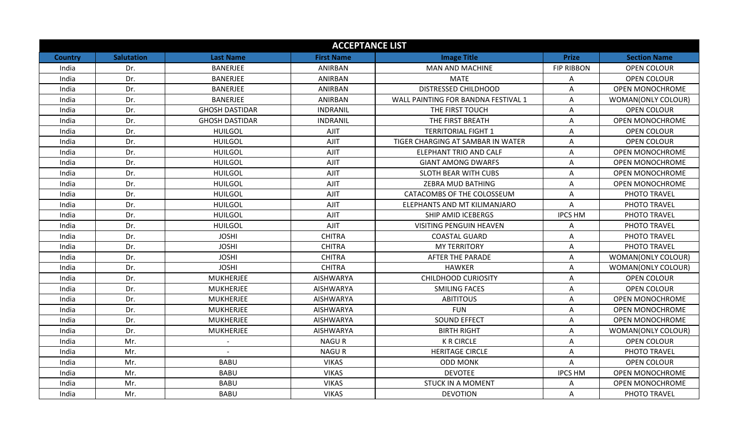|                |                   |                       | <b>ACCEPTANCE LIST</b> |                                     |                   |                        |
|----------------|-------------------|-----------------------|------------------------|-------------------------------------|-------------------|------------------------|
| <b>Country</b> | <b>Salutation</b> | <b>Last Name</b>      | <b>First Name</b>      | <b>Image Title</b>                  | <b>Prize</b>      | <b>Section Name</b>    |
| India          | Dr.               | <b>BANERJEE</b>       | ANIRBAN                | <b>MAN AND MACHINE</b>              | <b>FIP RIBBON</b> | <b>OPEN COLOUR</b>     |
| India          | Dr.               | <b>BANERJEE</b>       | ANIRBAN                | <b>MATE</b>                         | Α                 | <b>OPEN COLOUR</b>     |
| India          | Dr.               | <b>BANERJEE</b>       | <b>ANIRBAN</b>         | <b>DISTRESSED CHILDHOOD</b>         | Α                 | <b>OPEN MONOCHROME</b> |
| India          | Dr.               | <b>BANERJEE</b>       | <b>ANIRBAN</b>         | WALL PAINTING FOR BANDNA FESTIVAL 1 | Α                 | WOMAN(ONLY COLOUR)     |
| India          | Dr.               | <b>GHOSH DASTIDAR</b> | <b>INDRANIL</b>        | THE FIRST TOUCH                     | Α                 | <b>OPEN COLOUR</b>     |
| India          | Dr.               | <b>GHOSH DASTIDAR</b> | <b>INDRANIL</b>        | THE FIRST BREATH                    | Α                 | <b>OPEN MONOCHROME</b> |
| India          | Dr.               | <b>HUILGOL</b>        | AJIT                   | <b>TERRITORIAL FIGHT 1</b>          | A                 | <b>OPEN COLOUR</b>     |
| India          | Dr.               | <b>HUILGOL</b>        | AJIT                   | TIGER CHARGING AT SAMBAR IN WATER   | Α                 | <b>OPEN COLOUR</b>     |
| India          | Dr.               | <b>HUILGOL</b>        | AJIT                   | ELEPHANT TRIO AND CALF              | Α                 | <b>OPEN MONOCHROME</b> |
| India          | Dr.               | <b>HUILGOL</b>        | AJIT                   | <b>GIANT AMONG DWARFS</b>           | Α                 | <b>OPEN MONOCHROME</b> |
| India          | Dr.               | <b>HUILGOL</b>        | <b>AJIT</b>            | <b>SLOTH BEAR WITH CUBS</b>         | Α                 | <b>OPEN MONOCHROME</b> |
| India          | Dr.               | <b>HUILGOL</b>        | AJIT                   | ZEBRA MUD BATHING                   | Α                 | <b>OPEN MONOCHROME</b> |
| India          | Dr.               | <b>HUILGOL</b>        | AJIT                   | CATACOMBS OF THE COLOSSEUM          | A                 | PHOTO TRAVEL           |
| India          | Dr.               | <b>HUILGOL</b>        | AJIT                   | ELEPHANTS AND MT KILIMANJARO        | A                 | PHOTO TRAVEL           |
| India          | Dr.               | <b>HUILGOL</b>        | AJIT                   | SHIP AMID ICEBERGS                  | <b>IPCS HM</b>    | PHOTO TRAVEL           |
| India          | Dr.               | <b>HUILGOL</b>        | AJIT                   | <b>VISITING PENGUIN HEAVEN</b>      | A                 | PHOTO TRAVEL           |
| India          | Dr.               | <b>JOSHI</b>          | <b>CHITRA</b>          | <b>COASTAL GUARD</b>                | A                 | PHOTO TRAVEL           |
| India          | Dr.               | <b>JOSHI</b>          | <b>CHITRA</b>          | <b>MY TERRITORY</b>                 | Α                 | PHOTO TRAVEL           |
| India          | Dr.               | <b>JOSHI</b>          | <b>CHITRA</b>          | <b>AFTER THE PARADE</b>             | Α                 | WOMAN(ONLY COLOUR)     |
| India          | Dr.               | <b>JOSHI</b>          | <b>CHITRA</b>          | <b>HAWKER</b>                       | A                 | WOMAN(ONLY COLOUR)     |
| India          | Dr.               | <b>MUKHERJEE</b>      | <b>AISHWARYA</b>       | <b>CHILDHOOD CURIOSITY</b>          | Α                 | OPEN COLOUR            |
| India          | Dr.               | <b>MUKHERJEE</b>      | <b>AISHWARYA</b>       | <b>SMILING FACES</b>                | A                 | <b>OPEN COLOUR</b>     |
| India          | Dr.               | <b>MUKHERJEE</b>      | <b>AISHWARYA</b>       | <b>ABITITOUS</b>                    | Α                 | OPEN MONOCHROME        |
| India          | Dr.               | <b>MUKHERJEE</b>      | <b>AISHWARYA</b>       | <b>FUN</b>                          | Α                 | <b>OPEN MONOCHROME</b> |
| India          | Dr.               | <b>MUKHERJEE</b>      | <b>AISHWARYA</b>       | <b>SOUND EFFECT</b>                 | Α                 | OPEN MONOCHROME        |
| India          | Dr.               | <b>MUKHERJEE</b>      | <b>AISHWARYA</b>       | <b>BIRTH RIGHT</b>                  | Α                 | WOMAN(ONLY COLOUR)     |
| India          | Mr.               |                       | NAGU R                 | <b>K R CIRCLE</b>                   | Α                 | OPEN COLOUR            |
| India          | Mr.               |                       | <b>NAGUR</b>           | <b>HERITAGE CIRCLE</b>              | A                 | PHOTO TRAVEL           |
| India          | Mr.               | <b>BABU</b>           | <b>VIKAS</b>           | <b>ODD MONK</b>                     | A                 | OPEN COLOUR            |
| India          | Mr.               | <b>BABU</b>           | <b>VIKAS</b>           | <b>DEVOTEE</b>                      | <b>IPCS HM</b>    | OPEN MONOCHROME        |
| India          | Mr.               | <b>BABU</b>           | <b>VIKAS</b>           | <b>STUCK IN A MOMENT</b>            | A                 | OPEN MONOCHROME        |
| India          | Mr.               | <b>BABU</b>           | <b>VIKAS</b>           | <b>DEVOTION</b>                     | Α                 | PHOTO TRAVEL           |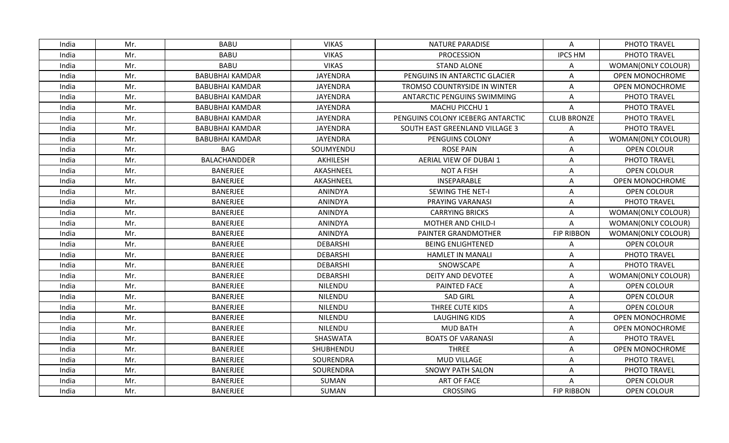| India | Mr. | <b>BABU</b>            | <b>VIKAS</b>    | <b>NATURE PARADISE</b>             | Α                  | PHOTO TRAVEL           |
|-------|-----|------------------------|-----------------|------------------------------------|--------------------|------------------------|
| India | Mr. | <b>BABU</b>            | <b>VIKAS</b>    | <b>PROCESSION</b>                  | <b>IPCS HM</b>     | PHOTO TRAVEL           |
| India | Mr. | <b>BABU</b>            | <b>VIKAS</b>    | <b>STAND ALONE</b>                 | Α                  | WOMAN(ONLY COLOUR)     |
| India | Mr. | <b>BABUBHAI KAMDAR</b> | <b>JAYENDRA</b> | PENGUINS IN ANTARCTIC GLACIER      | Α                  | <b>OPEN MONOCHROME</b> |
| India | Mr. | <b>BABUBHAI KAMDAR</b> | <b>JAYENDRA</b> | TROMSO COUNTRYSIDE IN WINTER       | A                  | OPEN MONOCHROME        |
| India | Mr. | <b>BABUBHAI KAMDAR</b> | JAYENDRA        | <b>ANTARCTIC PENGUINS SWIMMING</b> | Α                  | PHOTO TRAVEL           |
| India | Mr. | <b>BABUBHAI KAMDAR</b> | <b>JAYENDRA</b> | MACHU PICCHU 1                     | A                  | PHOTO TRAVEL           |
| India | Mr. | <b>BABUBHAI KAMDAR</b> | <b>JAYENDRA</b> | PENGUINS COLONY ICEBERG ANTARCTIC  | <b>CLUB BRONZE</b> | PHOTO TRAVEL           |
| India | Mr. | <b>BABUBHAI KAMDAR</b> | <b>JAYENDRA</b> | SOUTH EAST GREENLAND VILLAGE 3     | Α                  | PHOTO TRAVEL           |
| India | Mr. | <b>BABUBHAI KAMDAR</b> | <b>JAYENDRA</b> | PENGUINS COLONY                    | A                  | WOMAN(ONLY COLOUR)     |
| India | Mr. | <b>BAG</b>             | SOUMYENDU       | <b>ROSE PAIN</b>                   | Α                  | OPEN COLOUR            |
| India | Mr. | <b>BALACHANDDER</b>    | AKHILESH        | <b>AERIAL VIEW OF DUBAI 1</b>      | Α                  | PHOTO TRAVEL           |
| India | Mr. | <b>BANERJEE</b>        | AKASHNEEL       | <b>NOT A FISH</b>                  | Α                  | OPEN COLOUR            |
| India | Mr. | <b>BANERJEE</b>        | AKASHNEEL       | INSEPARABLE                        | A                  | OPEN MONOCHROME        |
| India | Mr. | <b>BANERJEE</b>        | ANINDYA         | <b>SEWING THE NET-I</b>            | A                  | <b>OPEN COLOUR</b>     |
| India | Mr. | BANERJEE               | <b>ANINDYA</b>  | PRAYING VARANASI                   | Α                  | PHOTO TRAVEL           |
| India | Mr. | <b>BANERJEE</b>        | <b>ANINDYA</b>  | <b>CARRYING BRICKS</b>             | A                  | WOMAN(ONLY COLOUR)     |
| India | Mr. | <b>BANERJEE</b>        | ANINDYA         | <b>MOTHER AND CHILD-I</b>          | A                  | WOMAN(ONLY COLOUR)     |
| India | Mr. | <b>BANERJEE</b>        | ANINDYA         | PAINTER GRANDMOTHER                | <b>FIP RIBBON</b>  | WOMAN(ONLY COLOUR)     |
| India | Mr. | <b>BANERJEE</b>        | <b>DEBARSHI</b> | <b>BEING ENLIGHTENED</b>           | Α                  | <b>OPEN COLOUR</b>     |
| India | Mr. | <b>BANERJEE</b>        | <b>DEBARSHI</b> | <b>HAMLET IN MANALI</b>            | Α                  | PHOTO TRAVEL           |
| India | Mr. | <b>BANERJEE</b>        | <b>DEBARSHI</b> | SNOWSCAPE                          | Α                  | PHOTO TRAVEL           |
| India | Mr. | <b>BANERJEE</b>        | <b>DEBARSHI</b> | <b>DEITY AND DEVOTEE</b>           | Α                  | WOMAN(ONLY COLOUR)     |
| India | Mr. | <b>BANERJEE</b>        | NILENDU         | PAINTED FACE                       | A                  | OPEN COLOUR            |
| India | Mr. | BANERJEE               | NILENDU         | <b>SAD GIRL</b>                    | A                  | <b>OPEN COLOUR</b>     |
| India | Mr. | <b>BANERJEE</b>        | NILENDU         | THREE CUTE KIDS                    | Α                  | OPEN COLOUR            |
| India | Mr. | <b>BANERJEE</b>        | NILENDU         | <b>LAUGHING KIDS</b>               | A                  | OPEN MONOCHROME        |
| India | Mr. | <b>BANERJEE</b>        | NILENDU         | <b>MUD BATH</b>                    | Α                  | OPEN MONOCHROME        |
| India | Mr. | BANERJEE               | SHASWATA        | <b>BOATS OF VARANASI</b>           | Α                  | PHOTO TRAVEL           |
| India | Mr. | <b>BANERJEE</b>        | SHUBHENDU       | <b>THREE</b>                       | Λ                  | <b>OPEN MONOCHROME</b> |
| India | Mr. | BANERJEE               | SOURENDRA       | MUD VILLAGE                        | Α                  | PHOTO TRAVEL           |
| India | Mr. | <b>BANERJEE</b>        | SOURENDRA       | <b>SNOWY PATH SALON</b>            | Α                  | PHOTO TRAVEL           |
| India | Mr. | <b>BANERJEE</b>        | SUMAN           | <b>ART OF FACE</b>                 | Α                  | OPEN COLOUR            |
| India | Mr. | BANERJEE               | SUMAN           | <b>CROSSING</b>                    | <b>FIP RIBBON</b>  | <b>OPEN COLOUR</b>     |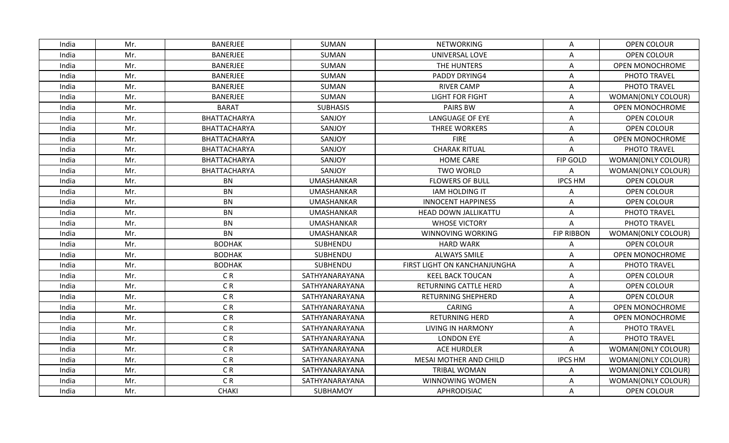| India | Mr. | <b>BANERJEE</b> | SUMAN             | <b>NETWORKING</b>            | Α                 | <b>OPEN COLOUR</b>     |
|-------|-----|-----------------|-------------------|------------------------------|-------------------|------------------------|
| India | Mr. | <b>BANERJEE</b> | SUMAN             | UNIVERSAL LOVE               | Α                 | <b>OPEN COLOUR</b>     |
| India | Mr. | <b>BANERJEE</b> | SUMAN             | THE HUNTERS                  | A                 | OPEN MONOCHROME        |
| India | Mr. | <b>BANERJEE</b> | SUMAN             | PADDY DRYING4                | Α                 | PHOTO TRAVEL           |
| India | Mr. | <b>BANERJEE</b> | SUMAN             | <b>RIVER CAMP</b>            | Α                 | PHOTO TRAVEL           |
| India | Mr. | <b>BANERJEE</b> | SUMAN             | <b>LIGHT FOR FIGHT</b>       | Α                 | WOMAN(ONLY COLOUR)     |
| India | Mr. | <b>BARAT</b>    | <b>SUBHASIS</b>   | PAIRS BW                     | Α                 | OPEN MONOCHROME        |
| India | Mr. | BHATTACHARYA    | SANJOY            | LANGUAGE OF EYE              | A                 | OPEN COLOUR            |
| India | Mr. | BHATTACHARYA    | SANJOY            | <b>THREE WORKERS</b>         | Α                 | <b>OPEN COLOUR</b>     |
| India | Mr. | BHATTACHARYA    | SANJOY            | <b>FIRE</b>                  | Α                 | <b>OPEN MONOCHROME</b> |
| India | Mr. | BHATTACHARYA    | SANJOY            | <b>CHARAK RITUAL</b>         | Α                 | PHOTO TRAVEL           |
| India | Mr. | BHATTACHARYA    | SANJOY            | <b>HOME CARE</b>             | FIP GOLD          | WOMAN(ONLY COLOUR)     |
| India | Mr. | BHATTACHARYA    | SANJOY            | <b>TWO WORLD</b>             | A                 | WOMAN(ONLY COLOUR)     |
| India | Mr. | <b>BN</b>       | <b>UMASHANKAR</b> | <b>FLOWERS OF BULL</b>       | <b>IPCS HM</b>    | OPEN COLOUR            |
| India | Mr. | <b>BN</b>       | <b>UMASHANKAR</b> | <b>IAM HOLDING IT</b>        | A                 | <b>OPEN COLOUR</b>     |
| India | Mr. | <b>BN</b>       | <b>UMASHANKAR</b> | <b>INNOCENT HAPPINESS</b>    | Α                 | <b>OPEN COLOUR</b>     |
| India | Mr. | <b>BN</b>       | <b>UMASHANKAR</b> | HEAD DOWN JALLIKATTU         | A                 | PHOTO TRAVEL           |
| India | Mr. | <b>BN</b>       | <b>UMASHANKAR</b> | <b>WHOSE VICTORY</b>         | A                 | PHOTO TRAVEL           |
| India | Mr. | <b>BN</b>       | <b>UMASHANKAR</b> | WINNOVING WORKING            | <b>FIP RIBBON</b> | WOMAN(ONLY COLOUR)     |
| India | Mr. | <b>BODHAK</b>   | SUBHENDU          | <b>HARD WARK</b>             | Α                 | OPEN COLOUR            |
| India | Mr. | <b>BODHAK</b>   | SUBHENDU          | <b>ALWAYS SMILE</b>          | A                 | <b>OPEN MONOCHROME</b> |
| India | Mr. | <b>BODHAK</b>   | SUBHENDU          | FIRST LIGHT ON KANCHANJUNGHA | A                 | PHOTO TRAVEL           |
| India | Mr. | C <sub>R</sub>  | SATHYANARAYANA    | <b>KEEL BACK TOUCAN</b>      | A                 | OPEN COLOUR            |
| India | Mr. | CR              | SATHYANARAYANA    | <b>RETURNING CATTLE HERD</b> | Α                 | OPEN COLOUR            |
| India | Mr. | CR              | SATHYANARAYANA    | RETURNING SHEPHERD           | Α                 | OPEN COLOUR            |
| India | Mr. | C <sub>R</sub>  | SATHYANARAYANA    | <b>CARING</b>                | A                 | OPEN MONOCHROME        |
| India | Mr. | C <sub>R</sub>  | SATHYANARAYANA    | <b>RETURNING HERD</b>        | A                 | OPEN MONOCHROME        |
| India | Mr. | C <sub>R</sub>  | SATHYANARAYANA    | <b>LIVING IN HARMONY</b>     | Α                 | PHOTO TRAVEL           |
| India | Mr. | C <sub>R</sub>  | SATHYANARAYANA    | <b>LONDON EYE</b>            | Α                 | PHOTO TRAVEL           |
| India | Mr. | C <sub>R</sub>  | SATHYANARAYANA    | <b>ACE HURDLER</b>           | A                 | WOMAN(ONLY COLOUR)     |
| India | Mr. | C <sub>R</sub>  | SATHYANARAYANA    | MESAI MOTHER AND CHILD       | <b>IPCS HM</b>    | WOMAN(ONLY COLOUR)     |
| India | Mr. | C <sub>R</sub>  | SATHYANARAYANA    | <b>TRIBAL WOMAN</b>          | Α                 | WOMAN(ONLY COLOUR)     |
| India | Mr. | C <sub>R</sub>  | SATHYANARAYANA    | WINNOWING WOMEN              | A                 | WOMAN(ONLY COLOUR)     |
| India | Mr. | <b>CHAKI</b>    | SUBHAMOY          | APHRODISIAC                  | Α                 | <b>OPEN COLOUR</b>     |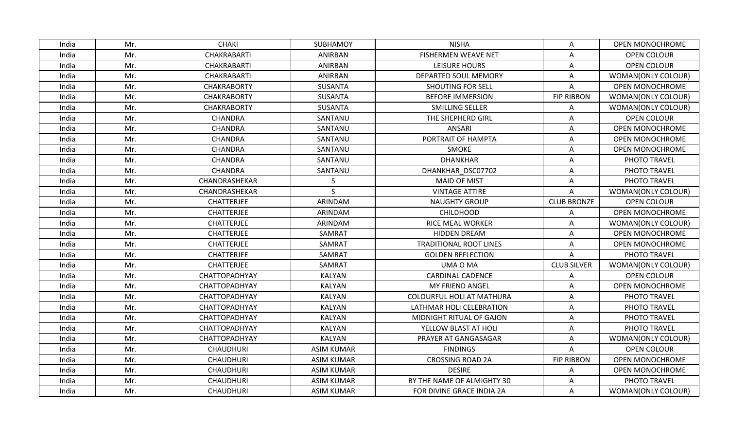| India | Mr. | <b>CHAKI</b>       | SUBHAMOY          | <b>NISHA</b>                     | Α                  | OPEN MONOCHROME        |
|-------|-----|--------------------|-------------------|----------------------------------|--------------------|------------------------|
| India | Mr. | <b>CHAKRABARTI</b> | ANIRBAN           | <b>FISHERMEN WEAVE NET</b>       | Α                  | <b>OPEN COLOUR</b>     |
| India | Mr. | CHAKRABARTI        | <b>ANIRBAN</b>    | <b>LEISURE HOURS</b>             | A                  | OPEN COLOUR            |
| India | Mr. | CHAKRABARTI        | <b>ANIRBAN</b>    | DEPARTED SOUL MEMORY             | $\mathsf A$        | WOMAN(ONLY COLOUR)     |
| India | Mr. | <b>CHAKRABORTY</b> | <b>SUSANTA</b>    | <b>SHOUTING FOR SELL</b>         | Α                  | OPEN MONOCHROME        |
| India | Mr. | CHAKRABORTY        | <b>SUSANTA</b>    | <b>BEFORE IMMERSION</b>          | <b>FIP RIBBON</b>  | WOMAN(ONLY COLOUR)     |
| India | Mr. | <b>CHAKRABORTY</b> | <b>SUSANTA</b>    | <b>SMILLING SELLER</b>           | A                  | WOMAN(ONLY COLOUR)     |
| India | Mr. | CHANDRA            | SANTANU           | THE SHEPHERD GIRL                | Α                  | OPEN COLOUR            |
| India | Mr. | CHANDRA            | SANTANU           | <b>ANSARI</b>                    | Α                  | OPEN MONOCHROME        |
| India | Mr. | CHANDRA            | SANTANU           | PORTRAIT OF HAMPTA               | A                  | OPEN MONOCHROME        |
| India | Mr. | CHANDRA            | SANTANU           | <b>SMOKE</b>                     | Α                  | OPEN MONOCHROME        |
| India | Mr. | CHANDRA            | SANTANU           | <b>DHANKHAR</b>                  | Α                  | PHOTO TRAVEL           |
| India | Mr. | <b>CHANDRA</b>     | SANTANU           | DHANKHAR DSC07702                | Α                  | PHOTO TRAVEL           |
| India | Mr. | CHANDRASHEKAR      | S.                | <b>MAID OF MIST</b>              | A                  | PHOTO TRAVEL           |
| India | Mr. | CHANDRASHEKAR      | S                 | <b>VINTAGE ATTIRE</b>            | Α                  | WOMAN(ONLY COLOUR)     |
| India | Mr. | <b>CHATTERJEE</b>  | ARINDAM           | <b>NAUGHTY GROUP</b>             | <b>CLUB BRONZE</b> | OPEN COLOUR            |
| India | Mr. | CHATTERJEE         | ARINDAM           | <b>CHILDHOOD</b>                 | Α                  | <b>OPEN MONOCHROME</b> |
| India | Mr. | CHATTERJEE         | ARINDAM           | <b>RICE MEAL WORKER</b>          | A                  | WOMAN(ONLY COLOUR)     |
| India | Mr. | <b>CHATTERJEE</b>  | SAMRAT            | HIDDEN DREAM                     | Α                  | OPEN MONOCHROME        |
| India | Mr. | CHATTERJEE         | SAMRAT            | <b>TRADITIONAL ROOT LINES</b>    | Α                  | OPEN MONOCHROME        |
| India | Mr. | <b>CHATTERJEE</b>  | SAMRAT            | <b>GOLDEN REFLECTION</b>         | Α                  | PHOTO TRAVEL           |
| India | Mr. | CHATTERJEE         | SAMRAT            | UMA O MA                         | <b>CLUB SILVER</b> | WOMAN(ONLY COLOUR)     |
| India | Mr. | CHATTOPADHYAY      | <b>KALYAN</b>     | <b>CARDINAL CADENCE</b>          | A                  | <b>OPEN COLOUR</b>     |
| India | Mr. | CHATTOPADHYAY      | KALYAN            | <b>MY FRIEND ANGEL</b>           | Α                  | <b>OPEN MONOCHROME</b> |
| India | Mr. | CHATTOPADHYAY      | <b>KALYAN</b>     | <b>COLOURFUL HOLI AT MATHURA</b> | Α                  | PHOTO TRAVEL           |
| India | Mr. | CHATTOPADHYAY      | <b>KALYAN</b>     | LATHMAR HOLI CELEBRATION         | Α                  | PHOTO TRAVEL           |
| India | Mr. | CHATTOPADHYAY      | <b>KALYAN</b>     | MIDNIGHT RITUAL OF GAJON         | A                  | PHOTO TRAVEL           |
| India | Mr. | CHATTOPADHYAY      | <b>KALYAN</b>     | YELLOW BLAST AT HOLI             | Α                  | PHOTO TRAVEL           |
| India | Mr. | CHATTOPADHYAY      | KALYAN            | PRAYER AT GANGASAGAR             | Α                  | WOMAN(ONLY COLOUR)     |
| India | Mr. | <b>CHAUDHURI</b>   | <b>ASIM KUMAR</b> | <b>FINDINGS</b>                  | A                  | OPEN COLOUR            |
| India | Mr. | <b>CHAUDHURI</b>   | <b>ASIM KUMAR</b> | <b>CROSSING ROAD 2A</b>          | <b>FIP RIBBON</b>  | OPEN MONOCHROME        |
| India | Mr. | <b>CHAUDHURI</b>   | <b>ASIM KUMAR</b> | <b>DESIRE</b>                    | Α                  | OPEN MONOCHROME        |
| India | Mr. | <b>CHAUDHURI</b>   | <b>ASIM KUMAR</b> | BY THE NAME OF ALMIGHTY 30       | Α                  | PHOTO TRAVEL           |
| India | Mr. | <b>CHAUDHURI</b>   | <b>ASIM KUMAR</b> | FOR DIVINE GRACE INDIA 2A        | A                  | WOMAN(ONLY COLOUR)     |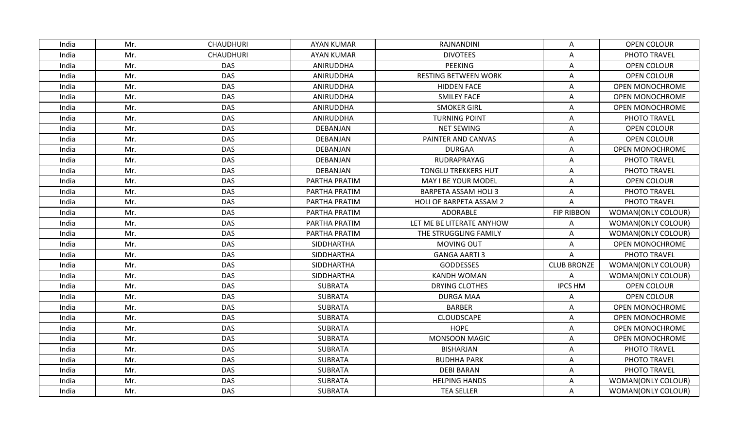| India | Mr. | <b>CHAUDHURI</b> | <b>AYAN KUMAR</b> | RAJNANDINI                  | Α                  | <b>OPEN COLOUR</b>        |
|-------|-----|------------------|-------------------|-----------------------------|--------------------|---------------------------|
| India | Mr. | <b>CHAUDHURI</b> | <b>AYAN KUMAR</b> | <b>DIVOTEES</b>             | A                  | PHOTO TRAVEL              |
| India | Mr. | <b>DAS</b>       | ANIRUDDHA         | <b>PEEKING</b>              | Α                  | <b>OPEN COLOUR</b>        |
| India | Mr. | <b>DAS</b>       | ANIRUDDHA         | <b>RESTING BETWEEN WORK</b> | A                  | OPEN COLOUR               |
| India | Mr. | <b>DAS</b>       | ANIRUDDHA         | <b>HIDDEN FACE</b>          | A                  | OPEN MONOCHROME           |
| India | Mr. | <b>DAS</b>       | ANIRUDDHA         | <b>SMILEY FACE</b>          | Α                  | <b>OPEN MONOCHROME</b>    |
| India | Mr. | <b>DAS</b>       | ANIRUDDHA         | <b>SMOKER GIRL</b>          | A                  | OPEN MONOCHROME           |
| India | Mr. | <b>DAS</b>       | ANIRUDDHA         | <b>TURNING POINT</b>        | A                  | PHOTO TRAVEL              |
| India | Mr. | <b>DAS</b>       | DEBANJAN          | <b>NET SEWING</b>           | Α                  | <b>OPEN COLOUR</b>        |
| India | Mr. | <b>DAS</b>       | DEBANJAN          | PAINTER AND CANVAS          | Α                  | OPEN COLOUR               |
| India | Mr. | <b>DAS</b>       | DEBANJAN          | <b>DURGAA</b>               | A                  | OPEN MONOCHROME           |
| India | Mr. | <b>DAS</b>       | DEBANJAN          | RUDRAPRAYAG                 | A                  | PHOTO TRAVEL              |
| India | Mr. | <b>DAS</b>       | DEBANJAN          | <b>TONGLU TREKKERS HUT</b>  | Α                  | PHOTO TRAVEL              |
| India | Mr. | <b>DAS</b>       | PARTHA PRATIM     | MAY I BE YOUR MODEL         | A                  | OPEN COLOUR               |
| India | Mr. | <b>DAS</b>       | PARTHA PRATIM     | <b>BARPETA ASSAM HOLI 3</b> | A                  | PHOTO TRAVEL              |
| India | Mr. | <b>DAS</b>       | PARTHA PRATIM     | HOLI OF BARPETA ASSAM 2     | A                  | PHOTO TRAVEL              |
| India | Mr. | <b>DAS</b>       | PARTHA PRATIM     | ADORABLE                    | <b>FIP RIBBON</b>  | <b>WOMAN(ONLY COLOUR)</b> |
| India | Mr. | <b>DAS</b>       | PARTHA PRATIM     | LET ME BE LITERATE ANYHOW   | Α                  | WOMAN(ONLY COLOUR)        |
| India | Mr. | <b>DAS</b>       | PARTHA PRATIM     | THE STRUGGLING FAMILY       | A                  | WOMAN(ONLY COLOUR)        |
| India | Mr. | <b>DAS</b>       | SIDDHARTHA        | <b>MOVING OUT</b>           | Α                  | OPEN MONOCHROME           |
| India | Mr. | <b>DAS</b>       | SIDDHARTHA        | <b>GANGA AARTI 3</b>        | Α                  | PHOTO TRAVEL              |
| India | Mr. | <b>DAS</b>       | <b>SIDDHARTHA</b> | <b>GODDESSES</b>            | <b>CLUB BRONZE</b> | WOMAN(ONLY COLOUR)        |
| India | Mr. | <b>DAS</b>       | SIDDHARTHA        | <b>KANDH WOMAN</b>          | A                  | WOMAN(ONLY COLOUR)        |
| India | Mr. | <b>DAS</b>       | <b>SUBRATA</b>    | DRYING CLOTHES              | <b>IPCS HM</b>     | OPEN COLOUR               |
| India | Mr. | <b>DAS</b>       | <b>SUBRATA</b>    | <b>DURGA MAA</b>            | Α                  | OPEN COLOUR               |
| India | Mr. | <b>DAS</b>       | <b>SUBRATA</b>    | <b>BARBER</b>               | Α                  | <b>OPEN MONOCHROME</b>    |
| India | Mr. | <b>DAS</b>       | <b>SUBRATA</b>    | <b>CLOUDSCAPE</b>           | Α                  | OPEN MONOCHROME           |
| India | Mr. | <b>DAS</b>       | SUBRATA           | <b>HOPE</b>                 | A                  | OPEN MONOCHROME           |
| India | Mr. | <b>DAS</b>       | <b>SUBRATA</b>    | MONSOON MAGIC               | Α                  | OPEN MONOCHROME           |
| India | Mr. | <b>DAS</b>       | <b>SUBRATA</b>    | <b>BISHARJAN</b>            | A                  | PHOTO TRAVEL              |
| India | Mr. | <b>DAS</b>       | <b>SUBRATA</b>    | <b>BUDHHA PARK</b>          | A                  | PHOTO TRAVEL              |
| India | Mr. | <b>DAS</b>       | <b>SUBRATA</b>    | <b>DEBI BARAN</b>           | Α                  | PHOTO TRAVEL              |
| India | Mr. | <b>DAS</b>       | <b>SUBRATA</b>    | <b>HELPING HANDS</b>        | Α                  | WOMAN(ONLY COLOUR)        |
| India | Mr. | <b>DAS</b>       | <b>SUBRATA</b>    | <b>TEA SELLER</b>           | A                  | WOMAN(ONLY COLOUR)        |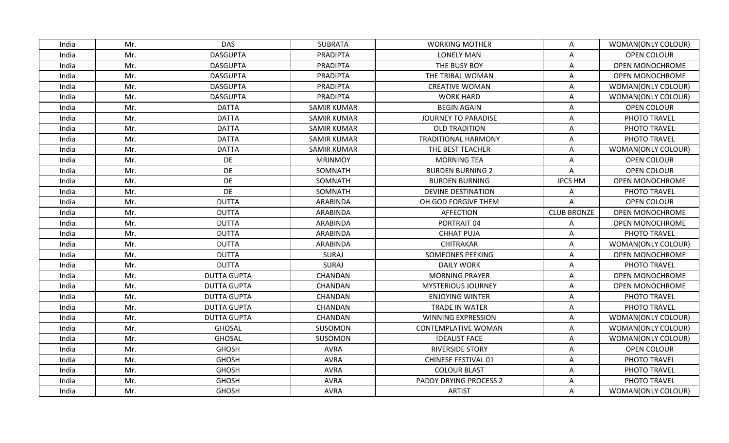| India | Mr. | <b>DAS</b>         | <b>SUBRATA</b>     | <b>WORKING MOTHER</b>      | A                  | WOMAN(ONLY COLOUR)     |
|-------|-----|--------------------|--------------------|----------------------------|--------------------|------------------------|
| India | Mr. | <b>DASGUPTA</b>    | <b>PRADIPTA</b>    | <b>LONELY MAN</b>          | Α                  | <b>OPEN COLOUR</b>     |
| India | Mr. | <b>DASGUPTA</b>    | <b>PRADIPTA</b>    | THE BUSY BOY               | Α                  | OPEN MONOCHROME        |
| India | Mr. | <b>DASGUPTA</b>    | PRADIPTA           | THE TRIBAL WOMAN           | A                  | OPEN MONOCHROME        |
| India | Mr. | <b>DASGUPTA</b>    | PRADIPTA           | <b>CREATIVE WOMAN</b>      | Α                  | WOMAN(ONLY COLOUR)     |
| India | Mr. | <b>DASGUPTA</b>    | <b>PRADIPTA</b>    | <b>WORK HARD</b>           | Α                  | WOMAN(ONLY COLOUR)     |
| India | Mr. | <b>DATTA</b>       | <b>SAMIR KUMAR</b> | <b>BEGIN AGAIN</b>         | Α                  | <b>OPEN COLOUR</b>     |
| India | Mr. | <b>DATTA</b>       | <b>SAMIR KUMAR</b> | JOURNEY TO PARADISE        | A                  | PHOTO TRAVEL           |
| India | Mr. | <b>DATTA</b>       | <b>SAMIR KUMAR</b> | <b>OLD TRADITION</b>       | Α                  | PHOTO TRAVEL           |
| India | Mr. | <b>DATTA</b>       | <b>SAMIR KUMAR</b> | <b>TRADITIONAL HARMONY</b> | Α                  | PHOTO TRAVEL           |
| India | Mr. | <b>DATTA</b>       | <b>SAMIR KUMAR</b> | THE BEST TEACHER           | Α                  | WOMAN(ONLY COLOUR)     |
| India | Mr. | DE                 | <b>MRINMOY</b>     | <b>MORNING TEA</b>         | A                  | <b>OPEN COLOUR</b>     |
| India | Mr. | DE                 | SOMNATH            | <b>BURDEN BURNING 2</b>    | Α                  | OPEN COLOUR            |
| India | Mr. | DE                 | SOMNATH            | <b>BURDEN BURNING</b>      | <b>IPCS HM</b>     | <b>OPEN MONOCHROME</b> |
| India | Mr. | DE                 | SOMNATH            | <b>DEVINE DESTINATION</b>  | A                  | PHOTO TRAVEL           |
| India | Mr. | <b>DUTTA</b>       | ARABINDA           | OH GOD FORGIVE THEM        | Α                  | <b>OPEN COLOUR</b>     |
| India | Mr. | <b>DUTTA</b>       | ARABINDA           | <b>AFFECTION</b>           | <b>CLUB BRONZE</b> | <b>OPEN MONOCHROME</b> |
| India | Mr. | <b>DUTTA</b>       | ARABINDA           | PORTRAIT 04                | A                  | OPEN MONOCHROME        |
| India | Mr. | <b>DUTTA</b>       | ARABINDA           | <b>CHHAT PUJA</b>          | Α                  | PHOTO TRAVEL           |
| India | Mr. | <b>DUTTA</b>       | ARABINDA           | <b>CHITRAKAR</b>           | Α                  | WOMAN(ONLY COLOUR)     |
| India | Mr. | <b>DUTTA</b>       | SURAJ              | <b>SOMEONES PEEKING</b>    | A                  | <b>OPEN MONOCHROME</b> |
| India | Mr. | <b>DUTTA</b>       | SURAJ              | <b>DAILY WORK</b>          | A                  | PHOTO TRAVEL           |
| India | Mr. | <b>DUTTA GUPTA</b> | CHANDAN            | <b>MORNING PRAYER</b>      | A                  | <b>OPEN MONOCHROME</b> |
| India | Mr. | <b>DUTTA GUPTA</b> | CHANDAN            | <b>MYSTERIOUS JOURNEY</b>  | Α                  | OPEN MONOCHROME        |
| India | Mr. | <b>DUTTA GUPTA</b> | CHANDAN            | <b>ENJOYING WINTER</b>     | Α                  | PHOTO TRAVEL           |
| India | Mr. | <b>DUTTA GUPTA</b> | CHANDAN            | <b>TRADE IN WATER</b>      | Α                  | PHOTO TRAVEL           |
| India | Mr. | <b>DUTTA GUPTA</b> | CHANDAN            | <b>WINNING EXPRESSION</b>  | A                  | WOMAN(ONLY COLOUR)     |
| India | Mr. | <b>GHOSAL</b>      | SUSOMON            | <b>CONTEMPLATIVE WOMAN</b> | A                  | WOMAN(ONLY COLOUR)     |
| India | Mr. | <b>GHOSAL</b>      | SUSOMON            | <b>IDEALIST FACE</b>       | Α                  | WOMAN(ONLY COLOUR)     |
| India | Mr. | <b>GHOSH</b>       | <b>AVRA</b>        | <b>RIVERSIDE STORY</b>     | A                  | <b>OPEN COLOUR</b>     |
| India | Mr. | <b>GHOSH</b>       | <b>AVRA</b>        | <b>CHINESE FESTIVAL 01</b> | A                  | PHOTO TRAVEL           |
| India | Mr. | <b>GHOSH</b>       | AVRA               | <b>COLOUR BLAST</b>        | Α                  | PHOTO TRAVEL           |
| India | Mr. | <b>GHOSH</b>       | <b>AVRA</b>        | PADDY DRYING PROCESS 2     | Α                  | PHOTO TRAVEL           |
| India | Mr. | <b>GHOSH</b>       | <b>AVRA</b>        | <b>ARTIST</b>              | A                  | WOMAN(ONLY COLOUR)     |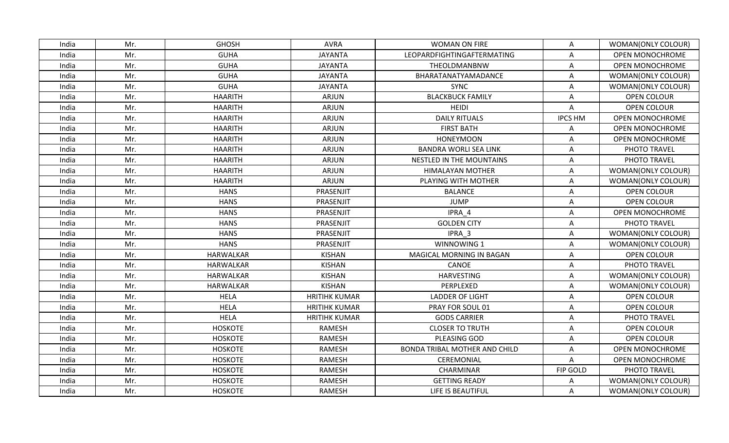| India | Mr. | <b>GHOSH</b>     | <b>AVRA</b>          | <b>WOMAN ON FIRE</b>                 | Α               | WOMAN(ONLY COLOUR)     |
|-------|-----|------------------|----------------------|--------------------------------------|-----------------|------------------------|
| India | Mr. | <b>GUHA</b>      | <b>JAYANTA</b>       | LEOPARDFIGHTINGAFTERMATING           | A               | <b>OPEN MONOCHROME</b> |
| India | Mr. | <b>GUHA</b>      | <b>JAYANTA</b>       | THEOLDMANBNW                         | Α               | OPEN MONOCHROME        |
| India | Mr. | <b>GUHA</b>      | <b>JAYANTA</b>       | BHARATANATYAMADANCE                  | A               | WOMAN(ONLY COLOUR)     |
| India | Mr. | <b>GUHA</b>      | <b>JAYANTA</b>       | <b>SYNC</b>                          | Α               | WOMAN(ONLY COLOUR)     |
| India | Mr. | <b>HAARITH</b>   | ARJUN                | <b>BLACKBUCK FAMILY</b>              | Α               | <b>OPEN COLOUR</b>     |
| India | Mr. | <b>HAARITH</b>   | ARJUN                | <b>HEIDI</b>                         | A               | <b>OPEN COLOUR</b>     |
| India | Mr. | <b>HAARITH</b>   | <b>ARJUN</b>         | <b>DAILY RITUALS</b>                 | <b>IPCS HM</b>  | <b>OPEN MONOCHROME</b> |
| India | Mr. | <b>HAARITH</b>   | ARJUN                | <b>FIRST BATH</b>                    | A               | <b>OPEN MONOCHROME</b> |
| India | Mr. | <b>HAARITH</b>   | ARJUN                | <b>HONEYMOON</b>                     | A               | OPEN MONOCHROME        |
| India | Mr. | <b>HAARITH</b>   | ARJUN                | <b>BANDRA WORLI SEA LINK</b>         | Α               | PHOTO TRAVEL           |
| India | Mr. | <b>HAARITH</b>   | <b>ARJUN</b>         | <b>NESTLED IN THE MOUNTAINS</b>      | A               | PHOTO TRAVEL           |
| India | Mr. | <b>HAARITH</b>   | ARJUN                | HIMALAYAN MOTHER                     | Α               | WOMAN(ONLY COLOUR)     |
| India | Mr. | <b>HAARITH</b>   | ARJUN                | PLAYING WITH MOTHER                  | A               | WOMAN(ONLY COLOUR)     |
| India | Mr. | <b>HANS</b>      | PRASENJIT            | <b>BALANCE</b>                       | Α               | <b>OPEN COLOUR</b>     |
| India | Mr. | <b>HANS</b>      | PRASENJIT            | JUMP                                 | Α               | <b>OPEN COLOUR</b>     |
| India | Mr. | <b>HANS</b>      | PRASENJIT            | IPRA 4                               | A               | OPEN MONOCHROME        |
| India | Mr. | <b>HANS</b>      | PRASENJIT            | <b>GOLDEN CITY</b>                   | Α               | PHOTO TRAVEL           |
| India | Mr. | <b>HANS</b>      | PRASENJIT            | IPRA 3                               | Α               | WOMAN(ONLY COLOUR)     |
| India | Mr. | <b>HANS</b>      | PRASENJIT            | WINNOWING 1                          | A               | WOMAN(ONLY COLOUR)     |
| India | Mr. | <b>HARWALKAR</b> | <b>KISHAN</b>        | MAGICAL MORNING IN BAGAN             | A               | OPEN COLOUR            |
| India | Mr. | HARWALKAR        | <b>KISHAN</b>        | CANOE                                | A               | PHOTO TRAVEL           |
| India | Mr. | <b>HARWALKAR</b> | <b>KISHAN</b>        | <b>HARVESTING</b>                    | Α               | WOMAN(ONLY COLOUR)     |
| India | Mr. | HARWALKAR        | KISHAN               | PERPLEXED                            | Α               | WOMAN(ONLY COLOUR)     |
| India | Mr. | <b>HELA</b>      | <b>HRITIHK KUMAR</b> | <b>LADDER OF LIGHT</b>               | Α               | <b>OPEN COLOUR</b>     |
| India | Mr. | <b>HELA</b>      | <b>HRITIHK KUMAR</b> | PRAY FOR SOUL 01                     | Α               | OPEN COLOUR            |
| India | Mr. | <b>HELA</b>      | <b>HRITIHK KUMAR</b> | <b>GODS CARRIER</b>                  | A               | PHOTO TRAVEL           |
| India | Mr. | <b>HOSKOTE</b>   | <b>RAMESH</b>        | <b>CLOSER TO TRUTH</b>               | A               | OPEN COLOUR            |
| India | Mr. | <b>HOSKOTE</b>   | RAMESH               | PLEASING GOD                         | Α               | OPEN COLOUR            |
| India | Mr. | <b>HOSKOTE</b>   | <b>RAMESH</b>        | <b>BONDA TRIBAL MOTHER AND CHILD</b> | A               | OPEN MONOCHROME        |
| India | Mr. | <b>HOSKOTE</b>   | <b>RAMESH</b>        | CEREMONIAL                           | Α               | <b>OPEN MONOCHROME</b> |
| India | Mr. | <b>HOSKOTE</b>   | RAMESH               | CHARMINAR                            | <b>FIP GOLD</b> | PHOTO TRAVEL           |
| India | Mr. | <b>HOSKOTE</b>   | <b>RAMESH</b>        | <b>GETTING READY</b>                 | Α               | WOMAN(ONLY COLOUR)     |
| India | Mr. | <b>HOSKOTE</b>   | <b>RAMESH</b>        | LIFE IS BEAUTIFUL                    | A               | WOMAN(ONLY COLOUR)     |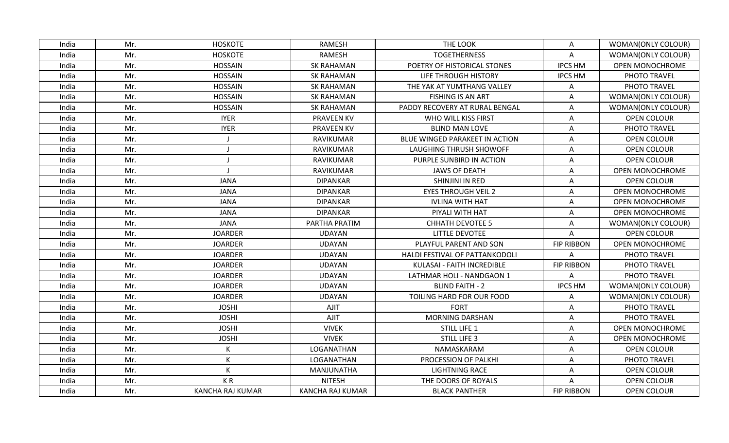| India | Mr. | <b>HOSKOTE</b>   | RAMESH            | THE LOOK                       | A                 | WOMAN(ONLY COLOUR)     |
|-------|-----|------------------|-------------------|--------------------------------|-------------------|------------------------|
| India | Mr. | <b>HOSKOTE</b>   | <b>RAMESH</b>     | <b>TOGETHERNESS</b>            | A                 | WOMAN(ONLY COLOUR)     |
| India | Mr. | <b>HOSSAIN</b>   | <b>SK RAHAMAN</b> | POETRY OF HISTORICAL STONES    | <b>IPCS HM</b>    | OPEN MONOCHROME        |
| India | Mr. | <b>HOSSAIN</b>   | <b>SK RAHAMAN</b> | LIFE THROUGH HISTORY           | <b>IPCS HM</b>    | PHOTO TRAVEL           |
| India | Mr. | <b>HOSSAIN</b>   | <b>SK RAHAMAN</b> | THE YAK AT YUMTHANG VALLEY     | A                 | PHOTO TRAVEL           |
| India | Mr. | <b>HOSSAIN</b>   | <b>SK RAHAMAN</b> | <b>FISHING IS AN ART</b>       | Α                 | WOMAN(ONLY COLOUR)     |
| India | Mr. | <b>HOSSAIN</b>   | <b>SK RAHAMAN</b> | PADDY RECOVERY AT RURAL BENGAL | Α                 | WOMAN(ONLY COLOUR)     |
| India | Mr. | <b>IYER</b>      | <b>PRAVEEN KV</b> | WHO WILL KISS FIRST            | A                 | <b>OPEN COLOUR</b>     |
| India | Mr. | <b>IYER</b>      | <b>PRAVEEN KV</b> | <b>BLIND MAN LOVE</b>          | A                 | PHOTO TRAVEL           |
| India | Mr. |                  | RAVIKUMAR         | BLUE WINGED PARAKEET IN ACTION | Α                 | OPEN COLOUR            |
| India | Mr. |                  | RAVIKUMAR         | LAUGHING THRUSH SHOWOFF        | A                 | OPEN COLOUR            |
| India | Mr. |                  | RAVIKUMAR         | PURPLE SUNBIRD IN ACTION       | Α                 | <b>OPEN COLOUR</b>     |
| India | Mr. |                  | RAVIKUMAR         | <b>JAWS OF DEATH</b>           | A                 | OPEN MONOCHROME        |
| India | Mr. | <b>JANA</b>      | <b>DIPANKAR</b>   | SHINJINI IN RED                | A                 | OPEN COLOUR            |
| India | Mr. | <b>JANA</b>      | <b>DIPANKAR</b>   | <b>EYES THROUGH VEIL 2</b>     | Α                 | OPEN MONOCHROME        |
| India | Mr. | JANA             | <b>DIPANKAR</b>   | <b>IVLINA WITH HAT</b>         | Α                 | OPEN MONOCHROME        |
| India | Mr. | <b>JANA</b>      | <b>DIPANKAR</b>   | PIYALI WITH HAT                | Α                 | <b>OPEN MONOCHROME</b> |
| India | Mr. | <b>JANA</b>      | PARTHA PRATIM     | <b>CHHATH DEVOTEE 5</b>        | A                 | WOMAN(ONLY COLOUR)     |
| India | Mr. | <b>JOARDER</b>   | <b>UDAYAN</b>     | LITTLE DEVOTEE                 | A                 | <b>OPEN COLOUR</b>     |
| India | Mr. | <b>JOARDER</b>   | <b>UDAYAN</b>     | PLAYFUL PARENT AND SON         | <b>FIP RIBBON</b> | OPEN MONOCHROME        |
| India | Mr. | <b>JOARDER</b>   | <b>UDAYAN</b>     | HALDI FESTIVAL OF PATTANKODOLI | A                 | PHOTO TRAVEL           |
| India | Mr. | <b>JOARDER</b>   | <b>UDAYAN</b>     | KULASAI - FAITH INCREDIBLE     | <b>FIP RIBBON</b> | PHOTO TRAVEL           |
| India | Mr. | <b>JOARDER</b>   | <b>UDAYAN</b>     | LATHMAR HOLI - NANDGAON 1      | A                 | PHOTO TRAVEL           |
| India | Mr. | <b>JOARDER</b>   | <b>UDAYAN</b>     | <b>BLIND FAITH - 2</b>         | <b>IPCS HM</b>    | WOMAN(ONLY COLOUR)     |
| India | Mr. | <b>JOARDER</b>   | <b>UDAYAN</b>     | TOILING HARD FOR OUR FOOD      | A                 | WOMAN(ONLY COLOUR)     |
| India | Mr. | <b>JOSHI</b>     | AJIT              | <b>FORT</b>                    | A                 | PHOTO TRAVEL           |
| India | Mr. | <b>JOSHI</b>     | <b>AJIT</b>       | <b>MORNING DARSHAN</b>         | Α                 | PHOTO TRAVEL           |
| India | Mr. | <b>JOSHI</b>     | <b>VIVEK</b>      | STILL LIFE 1                   | A                 | OPEN MONOCHROME        |
| India | Mr. | <b>JOSHI</b>     | <b>VIVEK</b>      | <b>STILL LIFE 3</b>            | Α                 | OPEN MONOCHROME        |
| India | Mr. |                  | LOGANATHAN        | NAMASKARAM                     | A                 | <b>OPEN COLOUR</b>     |
| India | Mr. |                  | LOGANATHAN        | PROCESSION OF PALKHI           | A                 | PHOTO TRAVEL           |
| India | Mr. | К                | MANJUNATHA        | <b>LIGHTNING RACE</b>          | A                 | OPEN COLOUR            |
| India | Mr. | KR               | <b>NITESH</b>     | THE DOORS OF ROYALS            | Α                 | <b>OPEN COLOUR</b>     |
| India | Mr. | KANCHA RAJ KUMAR | KANCHA RAJ KUMAR  | <b>BLACK PANTHER</b>           | <b>FIP RIBBON</b> | <b>OPEN COLOUR</b>     |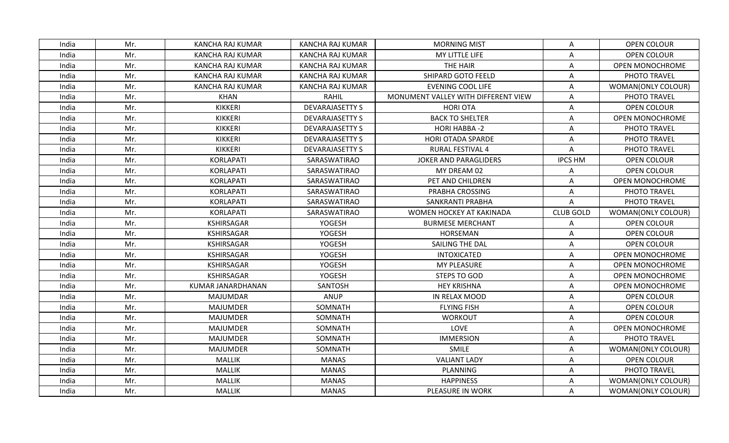| India | Mr. | KANCHA RAJ KUMAR        | KANCHA RAJ KUMAR       | <b>MORNING MIST</b>                 | Α                | <b>OPEN COLOUR</b>     |
|-------|-----|-------------------------|------------------------|-------------------------------------|------------------|------------------------|
| India | Mr. | <b>KANCHA RAJ KUMAR</b> | KANCHA RAJ KUMAR       | MY LITTLE LIFE                      | A                | <b>OPEN COLOUR</b>     |
| India | Mr. | KANCHA RAJ KUMAR        | KANCHA RAJ KUMAR       | THE HAIR                            | Α                | OPEN MONOCHROME        |
| India | Mr. | <b>KANCHA RAJ KUMAR</b> | KANCHA RAJ KUMAR       | SHIPARD GOTO FEELD                  | Α                | PHOTO TRAVEL           |
| India | Mr. | KANCHA RAJ KUMAR        | KANCHA RAJ KUMAR       | <b>EVENING COOL LIFE</b>            | Α                | WOMAN(ONLY COLOUR)     |
| India | Mr. | KHAN                    | RAHIL                  | MONUMENT VALLEY WITH DIFFERENT VIEW | Α                | PHOTO TRAVEL           |
| India | Mr. | <b>KIKKERI</b>          | <b>DEVARAJASETTY S</b> | <b>HORI OTA</b>                     | A                | OPEN COLOUR            |
| India | Mr. | <b>KIKKERI</b>          | <b>DEVARAJASETTY S</b> | <b>BACK TO SHELTER</b>              | Α                | OPEN MONOCHROME        |
| India | Mr. | <b>KIKKERI</b>          | <b>DEVARAJASETTY S</b> | <b>HORI HABBA-2</b>                 | A                | PHOTO TRAVEL           |
| India | Mr. | <b>KIKKERI</b>          | <b>DEVARAJASETTY S</b> | HORI OTADA SPARDE                   | Α                | PHOTO TRAVEL           |
| India | Mr. | <b>KIKKERI</b>          | <b>DEVARAJASETTY S</b> | <b>RURAL FESTIVAL 4</b>             | A                | PHOTO TRAVEL           |
| India | Mr. | <b>KORLAPATI</b>        | SARASWATIRAO           | JOKER AND PARAGLIDERS               | <b>IPCS HM</b>   | <b>OPEN COLOUR</b>     |
| India | Mr. | <b>KORLAPATI</b>        | SARASWATIRAO           | MY DREAM 02                         | Α                | OPEN COLOUR            |
| India | Mr. | <b>KORLAPATI</b>        | SARASWATIRAO           | PET AND CHILDREN                    | A                | OPEN MONOCHROME        |
| India | Mr. | <b>KORLAPATI</b>        | SARASWATIRAO           | PRABHA CROSSING                     | Α                | PHOTO TRAVEL           |
| India | Mr. | KORLAPATI               | SARASWATIRAO           | SANKRANTI PRABHA                    | Α                | PHOTO TRAVEL           |
| India | Mr. | <b>KORLAPATI</b>        | SARASWATIRAO           | WOMEN HOCKEY AT KAKINADA            | <b>CLUB GOLD</b> | WOMAN(ONLY COLOUR)     |
| India | Mr. | <b>KSHIRSAGAR</b>       | YOGESH                 | <b>BURMESE MERCHANT</b>             | Α                | <b>OPEN COLOUR</b>     |
| India | Mr. | <b>KSHIRSAGAR</b>       | YOGESH                 | HORSEMAN                            | Α                | <b>OPEN COLOUR</b>     |
| India | Mr. | <b>KSHIRSAGAR</b>       | YOGESH                 | SAILING THE DAL                     | A                | OPEN COLOUR            |
| India | Mr. | <b>KSHIRSAGAR</b>       | YOGESH                 | <b>INTOXICATED</b>                  | Α                | OPEN MONOCHROME        |
| India | Mr. | <b>KSHIRSAGAR</b>       | <b>YOGESH</b>          | <b>MY PLEASURE</b>                  | Α                | <b>OPEN MONOCHROME</b> |
| India | Mr. | <b>KSHIRSAGAR</b>       | YOGESH                 | <b>STEPS TO GOD</b>                 | Α                | OPEN MONOCHROME        |
| India | Mr. | KUMAR JANARDHANAN       | SANTOSH                | <b>HEY KRISHNA</b>                  | A                | <b>OPEN MONOCHROME</b> |
| India | Mr. | <b>MAJUMDAR</b>         | ANUP                   | IN RELAX MOOD                       | Α                | OPEN COLOUR            |
| India | Mr. | <b>MAJUMDER</b>         | SOMNATH                | <b>FLYING FISH</b>                  | Α                | OPEN COLOUR            |
| India | Mr. | <b>MAJUMDER</b>         | SOMNATH                | <b>WORKOUT</b>                      | Α                | OPEN COLOUR            |
| India | Mr. | <b>MAJUMDER</b>         | SOMNATH                | LOVE                                | Α                | OPEN MONOCHROME        |
| India | Mr. | <b>MAJUMDER</b>         | SOMNATH                | <b>IMMERSION</b>                    | A                | PHOTO TRAVEL           |
| India | Mr. | <b>MAJUMDER</b>         | SOMNATH                | SMILE                               | Α                | WOMAN(ONLY COLOUR)     |
| India | Mr. | <b>MALLIK</b>           | <b>MANAS</b>           | <b>VALIANT LADY</b>                 | Α                | <b>OPEN COLOUR</b>     |
| India | Mr. | <b>MALLIK</b>           | <b>MANAS</b>           | PLANNING                            | Α                | PHOTO TRAVEL           |
| India | Mr. | <b>MALLIK</b>           | <b>MANAS</b>           | <b>HAPPINESS</b>                    | Α                | WOMAN(ONLY COLOUR)     |
| India | Mr. | MALLIK                  | <b>MANAS</b>           | PLEASURE IN WORK                    | Α                | WOMAN(ONLY COLOUR)     |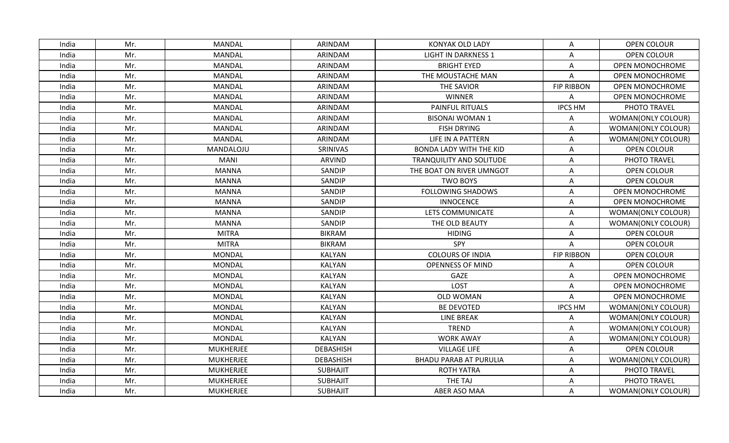| India | Mr. | MANDAL           | ARINDAM          | <b>KONYAK OLD LADY</b>          | Α                 | <b>OPEN COLOUR</b>     |
|-------|-----|------------------|------------------|---------------------------------|-------------------|------------------------|
| India | Mr. | MANDAL           | ARINDAM          | <b>LIGHT IN DARKNESS 1</b>      | A                 | <b>OPEN COLOUR</b>     |
| India | Mr. | <b>MANDAL</b>    | ARINDAM          | <b>BRIGHT EYED</b>              | A                 | OPEN MONOCHROME        |
| India | Mr. | <b>MANDAL</b>    | ARINDAM          | THE MOUSTACHE MAN               | A                 | OPEN MONOCHROME        |
| India | Mr. | <b>MANDAL</b>    | ARINDAM          | THE SAVIOR                      | <b>FIP RIBBON</b> | OPEN MONOCHROME        |
| India | Mr. | <b>MANDAL</b>    | ARINDAM          | <b>WINNER</b>                   | Α                 | <b>OPEN MONOCHROME</b> |
| India | Mr. | <b>MANDAL</b>    | ARINDAM          | <b>PAINFUL RITUALS</b>          | <b>IPCS HM</b>    | PHOTO TRAVEL           |
| India | Mr. | MANDAL           | ARINDAM          | <b>BISONAI WOMAN 1</b>          | A                 | WOMAN(ONLY COLOUR)     |
| India | Mr. | <b>MANDAL</b>    | ARINDAM          | <b>FISH DRYING</b>              | Α                 | WOMAN(ONLY COLOUR)     |
| India | Mr. | MANDAL           | ARINDAM          | LIFE IN A PATTERN               | A                 | WOMAN(ONLY COLOUR)     |
| India | Mr. | MANDALOJU        | SRINIVAS         | <b>BONDA LADY WITH THE KID</b>  | A                 | OPEN COLOUR            |
| India | Mr. | <b>MANI</b>      | <b>ARVIND</b>    | <b>TRANQUILITY AND SOLITUDE</b> | A                 | PHOTO TRAVEL           |
| India | Mr. | <b>MANNA</b>     | SANDIP           | THE BOAT ON RIVER UMNGOT        | Α                 | <b>OPEN COLOUR</b>     |
| India | Mr. | MANNA            | SANDIP           | TWO BOYS                        | Α                 | OPEN COLOUR            |
| India | Mr. | <b>MANNA</b>     | SANDIP           | <b>FOLLOWING SHADOWS</b>        | Α                 | <b>OPEN MONOCHROME</b> |
| India | Mr. | <b>MANNA</b>     | <b>SANDIP</b>    | <b>INNOCENCE</b>                | Α                 | <b>OPEN MONOCHROME</b> |
| India | Mr. | <b>MANNA</b>     | SANDIP           | LETS COMMUNICATE                | A                 | WOMAN(ONLY COLOUR)     |
| India | Mr. | <b>MANNA</b>     | SANDIP           | THE OLD BEAUTY                  | A                 | WOMAN(ONLY COLOUR)     |
| India | Mr. | <b>MITRA</b>     | <b>BIKRAM</b>    | <b>HIDING</b>                   | Α                 | <b>OPEN COLOUR</b>     |
| India | Mr. | <b>MITRA</b>     | <b>BIKRAM</b>    | SPY                             | Α                 | <b>OPEN COLOUR</b>     |
| India | Mr. | <b>MONDAL</b>    | KALYAN           | <b>COLOURS OF INDIA</b>         | <b>FIP RIBBON</b> | OPEN COLOUR            |
| India | Mr. | <b>MONDAL</b>    | <b>KALYAN</b>    | <b>OPENNESS OF MIND</b>         | Α                 | <b>OPEN COLOUR</b>     |
| India | Mr. | <b>MONDAL</b>    | <b>KALYAN</b>    | GAZE                            | Α                 | <b>OPEN MONOCHROME</b> |
| India | Mr. | <b>MONDAL</b>    | KALYAN           | LOST                            | A                 | OPEN MONOCHROME        |
| India | Mr. | <b>MONDAL</b>    | <b>KALYAN</b>    | <b>OLD WOMAN</b>                | Α                 | OPEN MONOCHROME        |
| India | Mr. | <b>MONDAL</b>    | KALYAN           | <b>BE DEVOTED</b>               | <b>IPCS HM</b>    | WOMAN(ONLY COLOUR)     |
| India | Mr. | <b>MONDAL</b>    | <b>KALYAN</b>    | <b>LINE BREAK</b>               | A                 | WOMAN(ONLY COLOUR)     |
| India | Mr. | <b>MONDAL</b>    | <b>KALYAN</b>    | <b>TREND</b>                    | Α                 | WOMAN(ONLY COLOUR)     |
| India | Mr. | <b>MONDAL</b>    | KALYAN           | <b>WORK AWAY</b>                | Α                 | WOMAN(ONLY COLOUR)     |
| India | Mr. | <b>MUKHERJEE</b> | <b>DEBASHISH</b> | <b>VILLAGE LIFE</b>             | Α                 | OPEN COLOUR            |
| India | Mr. | <b>MUKHERJEE</b> | <b>DEBASHISH</b> | <b>BHADU PARAB AT PURULIA</b>   | Α                 | WOMAN(ONLY COLOUR)     |
| India | Mr. | <b>MUKHERJEE</b> | <b>SUBHAJIT</b>  | <b>ROTH YATRA</b>               | Α                 | PHOTO TRAVEL           |
| India | Mr. | <b>MUKHERJEE</b> | <b>SUBHAJIT</b>  | THE TAJ                         | Α                 | PHOTO TRAVEL           |
| India | Mr. | <b>MUKHERJEE</b> | <b>SUBHAJIT</b>  | <b>ABER ASO MAA</b>             | Α                 | WOMAN(ONLY COLOUR)     |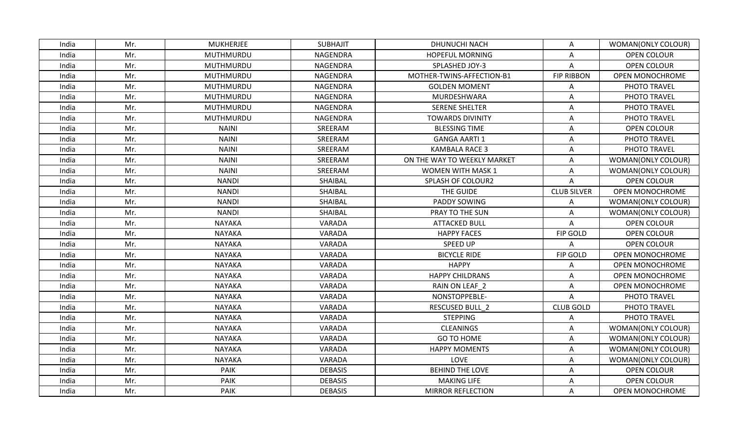| India | Mr. | <b>MUKHERJEE</b> | <b>SUBHAJIT</b> | DHUNUCHI NACH               | A                  | WOMAN(ONLY COLOUR)     |
|-------|-----|------------------|-----------------|-----------------------------|--------------------|------------------------|
| India | Mr. | MUTHMURDU        | NAGENDRA        | <b>HOPEFUL MORNING</b>      | Α                  | <b>OPEN COLOUR</b>     |
| India | Mr. | MUTHMURDU        | NAGENDRA        | SPLASHED JOY-3              | A                  | OPEN COLOUR            |
| India | Mr. | MUTHMURDU        | NAGENDRA        | MOTHER-TWINS-AFFECTION-B1   | <b>FIP RIBBON</b>  | OPEN MONOCHROME        |
| India | Mr. | MUTHMURDU        | NAGENDRA        | <b>GOLDEN MOMENT</b>        | A                  | PHOTO TRAVEL           |
| India | Mr. | MUTHMURDU        | NAGENDRA        | MURDESHWARA                 | Α                  | PHOTO TRAVEL           |
| India | Mr. | MUTHMURDU        | NAGENDRA        | <b>SERENE SHELTER</b>       | A                  | PHOTO TRAVEL           |
| India | Mr. | MUTHMURDU        | NAGENDRA        | <b>TOWARDS DIVINITY</b>     | Α                  | PHOTO TRAVEL           |
| India | Mr. | <b>NAINI</b>     | SREERAM         | <b>BLESSING TIME</b>        | Α                  | OPEN COLOUR            |
| India | Mr. | <b>NAINI</b>     | SREERAM         | <b>GANGA AARTI1</b>         | Α                  | PHOTO TRAVEL           |
| India | Mr. | <b>NAINI</b>     | SREERAM         | <b>KAMBALA RACE 3</b>       | Α                  | PHOTO TRAVEL           |
| India | Mr. | <b>NAINI</b>     | SREERAM         | ON THE WAY TO WEEKLY MARKET | A                  | WOMAN(ONLY COLOUR)     |
| India | Mr. | <b>NAINI</b>     | SREERAM         | <b>WOMEN WITH MASK 1</b>    | Α                  | WOMAN(ONLY COLOUR)     |
| India | Mr. | <b>NANDI</b>     | SHAIBAL         | SPLASH OF COLOUR2           | A                  | <b>OPEN COLOUR</b>     |
| India | Mr. | <b>NANDI</b>     | SHAIBAL         | THE GUIDE                   | <b>CLUB SILVER</b> | OPEN MONOCHROME        |
| India | Mr. | <b>NANDI</b>     | SHAIBAL         | PADDY SOWING                | Α                  | WOMAN(ONLY COLOUR)     |
| India | Mr. | <b>NANDI</b>     | SHAIBAL         | PRAY TO THE SUN             | Α                  | WOMAN(ONLY COLOUR)     |
| India | Mr. | <b>NAYAKA</b>    | VARADA          | <b>ATTACKED BULL</b>        | Α                  | <b>OPEN COLOUR</b>     |
| India | Mr. | <b>NAYAKA</b>    | VARADA          | <b>HAPPY FACES</b>          | FIP GOLD           | OPEN COLOUR            |
| India | Mr. | <b>NAYAKA</b>    | VARADA          | SPEED UP                    | Α                  | <b>OPEN COLOUR</b>     |
| India | Mr. | <b>NAYAKA</b>    | VARADA          | <b>BICYCLE RIDE</b>         | <b>FIP GOLD</b>    | OPEN MONOCHROME        |
| India | Mr. | <b>NAYAKA</b>    | VARADA          | <b>HAPPY</b>                | Α                  | <b>OPEN MONOCHROME</b> |
| India | Mr. | <b>NAYAKA</b>    | VARADA          | <b>HAPPY CHILDRANS</b>      | Α                  | OPEN MONOCHROME        |
| India | Mr. | <b>NAYAKA</b>    | VARADA          | RAIN ON LEAF_2              | A                  | OPEN MONOCHROME        |
| India | Mr. | <b>NAYAKA</b>    | VARADA          | NONSTOPPEBLE-               | A                  | PHOTO TRAVEL           |
| India | Mr. | <b>NAYAKA</b>    | VARADA          | <b>RESCUSED BULL 2</b>      | <b>CLUB GOLD</b>   | PHOTO TRAVEL           |
| India | Mr. | <b>NAYAKA</b>    | VARADA          | <b>STEPPING</b>             | A                  | PHOTO TRAVEL           |
| India | Mr. | <b>NAYAKA</b>    | VARADA          | <b>CLEANINGS</b>            | Α                  | WOMAN(ONLY COLOUR)     |
| India | Mr. | <b>NAYAKA</b>    | VARADA          | GO TO HOME                  | A                  | WOMAN(ONLY COLOUR)     |
| India | Mr. | <b>NAYAKA</b>    | VARADA          | <b>HAPPY MOMENTS</b>        | A                  | WOMAN(ONLY COLOUR)     |
| India | Mr. | NAYAKA           | VARADA          | LOVE                        | Α                  | WOMAN(ONLY COLOUR)     |
| India | Mr. | PAIK             | <b>DEBASIS</b>  | <b>BEHIND THE LOVE</b>      | A                  | <b>OPEN COLOUR</b>     |
| India | Mr. | <b>PAIK</b>      | <b>DEBASIS</b>  | <b>MAKING LIFE</b>          | Α                  | <b>OPEN COLOUR</b>     |
| India | Mr. | PAIK             | <b>DEBASIS</b>  | <b>MIRROR REFLECTION</b>    | A                  | <b>OPEN MONOCHROME</b> |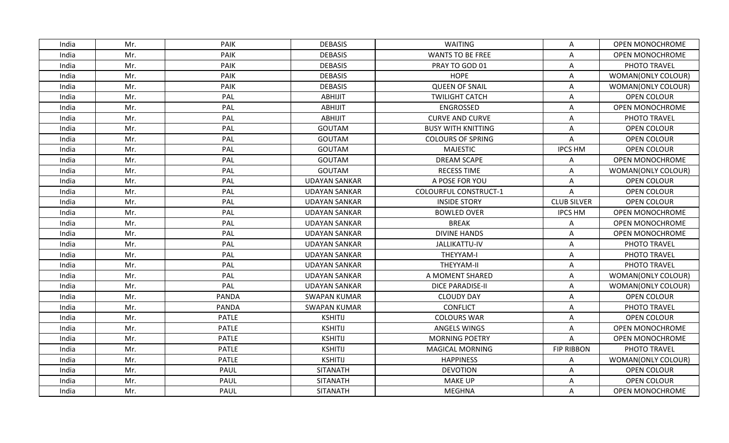| India | Mr. | <b>PAIK</b>  | <b>DEBASIS</b>       | WAITING                      | Α                  | <b>OPEN MONOCHROME</b> |
|-------|-----|--------------|----------------------|------------------------------|--------------------|------------------------|
| India | Mr. | <b>PAIK</b>  | <b>DEBASIS</b>       | <b>WANTS TO BE FREE</b>      | A                  | <b>OPEN MONOCHROME</b> |
| India | Mr. | <b>PAIK</b>  | <b>DEBASIS</b>       | PRAY TO GOD 01               | Α                  | PHOTO TRAVEL           |
| India | Mr. | <b>PAIK</b>  | <b>DEBASIS</b>       | <b>HOPE</b>                  | A                  | WOMAN(ONLY COLOUR)     |
| India | Mr. | <b>PAIK</b>  | <b>DEBASIS</b>       | <b>QUEEN OF SNAIL</b>        | Α                  | WOMAN(ONLY COLOUR)     |
| India | Mr. | PAL          | <b>ABHIJIT</b>       | <b>TWILIGHT CATCH</b>        | Α                  | OPEN COLOUR            |
| India | Mr. | PAL          | <b>ABHIJIT</b>       | <b>ENGROSSED</b>             | A                  | OPEN MONOCHROME        |
| India | Mr. | PAL          | <b>ABHIJIT</b>       | <b>CURVE AND CURVE</b>       | A                  | PHOTO TRAVEL           |
| India | Mr. | PAL          | GOUTAM               | <b>BUSY WITH KNITTING</b>    | Α                  | <b>OPEN COLOUR</b>     |
| India | Mr. | PAL          | <b>GOUTAM</b>        | <b>COLOURS OF SPRING</b>     | A                  | <b>OPEN COLOUR</b>     |
| India | Mr. | PAL          | <b>GOUTAM</b>        | <b>MAJESTIC</b>              | <b>IPCS HM</b>     | OPEN COLOUR            |
| India | Mr. | PAL          | <b>GOUTAM</b>        | <b>DREAM SCAPE</b>           | Α                  | <b>OPEN MONOCHROME</b> |
| India | Mr. | PAL          | GOUTAM               | <b>RECESS TIME</b>           | Α                  | WOMAN(ONLY COLOUR)     |
| India | Mr. | PAL          | <b>UDAYAN SANKAR</b> | A POSE FOR YOU               | A                  | <b>OPEN COLOUR</b>     |
| India | Mr. | PAL          | <b>UDAYAN SANKAR</b> | <b>COLOURFUL CONSTRUCT-1</b> | Α                  | <b>OPEN COLOUR</b>     |
| India | Mr. | PAL          | <b>UDAYAN SANKAR</b> | <b>INSIDE STORY</b>          | <b>CLUB SILVER</b> | <b>OPEN COLOUR</b>     |
| India | Mr. | PAL          | <b>UDAYAN SANKAR</b> | <b>BOWLED OVER</b>           | <b>IPCS HM</b>     | <b>OPEN MONOCHROME</b> |
| India | Mr. | PAL          | <b>UDAYAN SANKAR</b> | <b>BREAK</b>                 | A                  | OPEN MONOCHROME        |
| India | Mr. | PAL          | <b>UDAYAN SANKAR</b> | <b>DIVINE HANDS</b>          | Α                  | OPEN MONOCHROME        |
| India | Mr. | PAL          | <b>UDAYAN SANKAR</b> | JALLIKATTU-IV                | A                  | PHOTO TRAVEL           |
| India | Mr. | PAL          | <b>UDAYAN SANKAR</b> | THEYYAM-I                    | Α                  | PHOTO TRAVEL           |
| India | Mr. | PAL          | <b>UDAYAN SANKAR</b> | THEYYAM-II                   | A                  | PHOTO TRAVEL           |
| India | Mr. | PAL          | <b>UDAYAN SANKAR</b> | A MOMENT SHARED              | Α                  | WOMAN(ONLY COLOUR)     |
| India | Mr. | PAL          | <b>UDAYAN SANKAR</b> | <b>DICE PARADISE-II</b>      | Α                  | WOMAN(ONLY COLOUR)     |
| India | Mr. | <b>PANDA</b> | <b>SWAPAN KUMAR</b>  | <b>CLOUDY DAY</b>            | Α                  | <b>OPEN COLOUR</b>     |
| India | Mr. | <b>PANDA</b> | <b>SWAPAN KUMAR</b>  | <b>CONFLICT</b>              | Α                  | PHOTO TRAVEL           |
| India | Mr. | <b>PATLE</b> | <b>KSHITIJ</b>       | <b>COLOURS WAR</b>           | A                  | OPEN COLOUR            |
| India | Mr. | <b>PATLE</b> | <b>KSHITIJ</b>       | ANGELS WINGS                 | Α                  | OPEN MONOCHROME        |
| India | Mr. | <b>PATLE</b> | <b>KSHITIJ</b>       | <b>MORNING POETRY</b>        | A                  | <b>OPEN MONOCHROME</b> |
| India | Mr. | <b>PATLE</b> | <b>KSHITIJ</b>       | <b>MAGICAL MORNING</b>       | <b>FIP RIBBON</b>  | PHOTO TRAVEL           |
| India | Mr. | <b>PATLE</b> | <b>KSHITIJ</b>       | <b>HAPPINESS</b>             | Α                  | WOMAN(ONLY COLOUR)     |
| India | Mr. | PAUL         | <b>SITANATH</b>      | <b>DEVOTION</b>              | A                  | <b>OPEN COLOUR</b>     |
| India | Mr. | <b>PAUL</b>  | <b>SITANATH</b>      | <b>MAKE UP</b>               | Α                  | <b>OPEN COLOUR</b>     |
| India | Mr. | PAUL         | <b>SITANATH</b>      | <b>MEGHNA</b>                | A                  | <b>OPEN MONOCHROME</b> |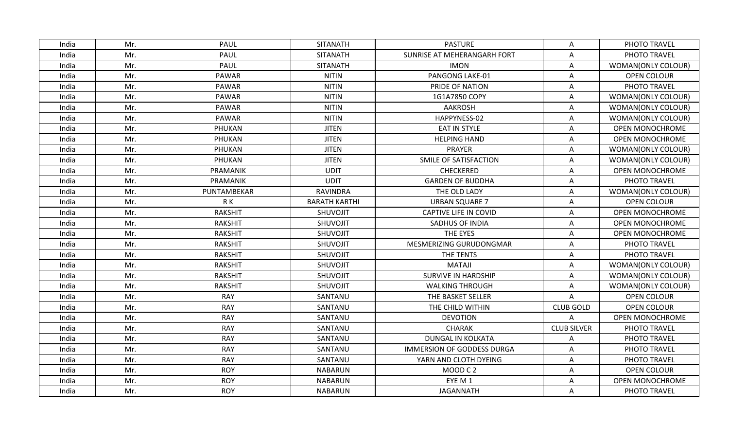| India | Mr. | PAUL           | <b>SITANATH</b>      | <b>PASTURE</b>                    | Α                  | PHOTO TRAVEL           |
|-------|-----|----------------|----------------------|-----------------------------------|--------------------|------------------------|
| India | Mr. | <b>PAUL</b>    | <b>SITANATH</b>      | SUNRISE AT MEHERANGARH FORT       | A                  | PHOTO TRAVEL           |
| India | Mr. | <b>PAUL</b>    | <b>SITANATH</b>      | <b>IMON</b>                       | Α                  | WOMAN(ONLY COLOUR)     |
| India | Mr. | <b>PAWAR</b>   | <b>NITIN</b>         | PANGONG LAKE-01                   | Α                  | OPEN COLOUR            |
| India | Mr. | <b>PAWAR</b>   | <b>NITIN</b>         | PRIDE OF NATION                   | Α                  | PHOTO TRAVEL           |
| India | Mr. | <b>PAWAR</b>   | <b>NITIN</b>         | 1G1A7850 COPY                     | Α                  | WOMAN(ONLY COLOUR)     |
| India | Mr. | <b>PAWAR</b>   | <b>NITIN</b>         | <b>AAKROSH</b>                    | A                  | WOMAN(ONLY COLOUR)     |
| India | Mr. | PAWAR          | <b>NITIN</b>         | HAPPYNESS-02                      | Α                  | WOMAN(ONLY COLOUR)     |
| India | Mr. | PHUKAN         | <b>JITEN</b>         | <b>EAT IN STYLE</b>               | Α                  | <b>OPEN MONOCHROME</b> |
| India | Mr. | PHUKAN         | <b>JITEN</b>         | <b>HELPING HAND</b>               | Α                  | <b>OPEN MONOCHROME</b> |
| India | Mr. | PHUKAN         | <b>JITEN</b>         | PRAYER                            | Α                  | WOMAN(ONLY COLOUR)     |
| India | Mr. | PHUKAN         | <b>JITEN</b>         | SMILE OF SATISFACTION             | $\mathsf A$        | WOMAN(ONLY COLOUR)     |
| India | Mr. | PRAMANIK       | <b>UDIT</b>          | CHECKERED                         | Α                  | OPEN MONOCHROME        |
| India | Mr. | PRAMANIK       | <b>UDIT</b>          | <b>GARDEN OF BUDDHA</b>           | Α                  | PHOTO TRAVEL           |
| India | Mr. | PUNTAMBEKAR    | RAVINDRA             | THE OLD LADY                      | Α                  | WOMAN(ONLY COLOUR)     |
| India | Mr. | R K            | <b>BARATH KARTHI</b> | <b>URBAN SQUARE 7</b>             | Α                  | <b>OPEN COLOUR</b>     |
| India | Mr. | <b>RAKSHIT</b> | SHUVOJIT             | CAPTIVE LIFE IN COVID             | A                  | OPEN MONOCHROME        |
| India | Mr. | <b>RAKSHIT</b> | SHUVOJIT             | SADHUS OF INDIA                   | Α                  | OPEN MONOCHROME        |
| India | Mr. | <b>RAKSHIT</b> | SHUVOJIT             | THE EYES                          | Α                  | OPEN MONOCHROME        |
| India | Mr. | <b>RAKSHIT</b> | SHUVOJIT             | MESMERIZING GURUDONGMAR           | Α                  | PHOTO TRAVEL           |
| India | Mr. | <b>RAKSHIT</b> | <b>SHUVOJIT</b>      | THE TENTS                         | Α                  | PHOTO TRAVEL           |
| India | Mr. | <b>RAKSHIT</b> | SHUVOJIT             | <b>MATAJI</b>                     | A                  | WOMAN(ONLY COLOUR)     |
| India | Mr. | <b>RAKSHIT</b> | SHUVOJIT             | <b>SURVIVE IN HARDSHIP</b>        | A                  | WOMAN(ONLY COLOUR)     |
| India | Mr. | <b>RAKSHIT</b> | SHUVOJIT             | <b>WALKING THROUGH</b>            | Α                  | WOMAN(ONLY COLOUR)     |
| India | Mr. | <b>RAY</b>     | SANTANU              | THE BASKET SELLER                 | Α                  | OPEN COLOUR            |
| India | Mr. | <b>RAY</b>     | SANTANU              | THE CHILD WITHIN                  | <b>CLUB GOLD</b>   | <b>OPEN COLOUR</b>     |
| India | Mr. | <b>RAY</b>     | SANTANU              | <b>DEVOTION</b>                   | Α                  | OPEN MONOCHROME        |
| India | Mr. | <b>RAY</b>     | SANTANU              | <b>CHARAK</b>                     | <b>CLUB SILVER</b> | PHOTO TRAVEL           |
| India | Mr. | <b>RAY</b>     | SANTANU              | <b>DUNGAL IN KOLKATA</b>          | A                  | PHOTO TRAVEL           |
| India | Mr. | <b>RAY</b>     | SANTANU              | <b>IMMERSION OF GODDESS DURGA</b> | A                  | PHOTO TRAVEL           |
| India | Mr. | <b>RAY</b>     | SANTANU              | YARN AND CLOTH DYEING             | A                  | PHOTO TRAVEL           |
| India | Mr. | <b>ROY</b>     | <b>NABARUN</b>       | MOOD C 2                          | A                  | OPEN COLOUR            |
| India | Mr. | <b>ROY</b>     | <b>NABARUN</b>       | EYE M 1                           | Α                  | <b>OPEN MONOCHROME</b> |
| India | Mr. | <b>ROY</b>     | <b>NABARUN</b>       | <b>JAGANNATH</b>                  | A                  | PHOTO TRAVEL           |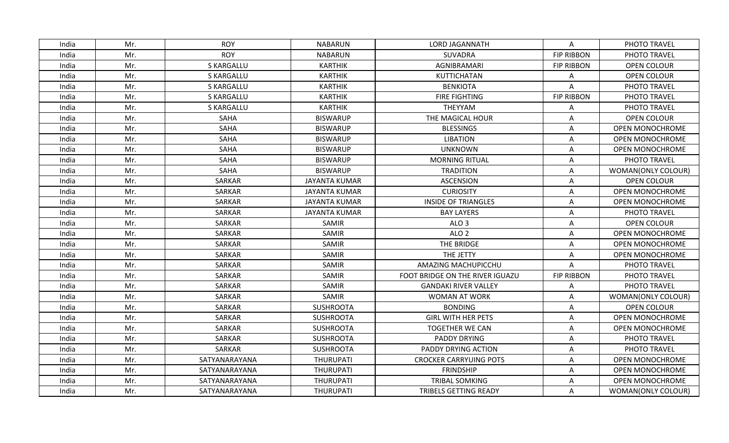| India | Mr. | <b>ROY</b>        | <b>NABARUN</b>       | <b>LORD JAGANNATH</b>           | Α                 | PHOTO TRAVEL           |
|-------|-----|-------------------|----------------------|---------------------------------|-------------------|------------------------|
| India | Mr. | <b>ROY</b>        | <b>NABARUN</b>       | SUVADRA                         | <b>FIP RIBBON</b> | PHOTO TRAVEL           |
| India | Mr. | S KARGALLU        | <b>KARTHIK</b>       | AGNIBRAMARI                     | <b>FIP RIBBON</b> | <b>OPEN COLOUR</b>     |
| India | Mr. | S KARGALLU        | <b>KARTHIK</b>       | KUTTICHATAN                     | A                 | OPEN COLOUR            |
| India | Mr. | <b>S KARGALLU</b> | <b>KARTHIK</b>       | <b>BENKIOTA</b>                 | Α                 | PHOTO TRAVEL           |
| India | Mr. | <b>S KARGALLU</b> | <b>KARTHIK</b>       | FIRE FIGHTING                   | <b>FIP RIBBON</b> | PHOTO TRAVEL           |
| India | Mr. | <b>S KARGALLU</b> | <b>KARTHIK</b>       | THEYYAM                         | Α                 | PHOTO TRAVEL           |
| India | Mr. | SAHA              | <b>BISWARUP</b>      | THE MAGICAL HOUR                | A                 | <b>OPEN COLOUR</b>     |
| India | Mr. | SAHA              | <b>BISWARUP</b>      | <b>BLESSINGS</b>                | A                 | <b>OPEN MONOCHROME</b> |
| India | Mr. | SAHA              | <b>BISWARUP</b>      | <b>LIBATION</b>                 | Α                 | OPEN MONOCHROME        |
| India | Mr. | SAHA              | <b>BISWARUP</b>      | <b>UNKNOWN</b>                  | A                 | <b>OPEN MONOCHROME</b> |
| India | Mr. | SAHA              | <b>BISWARUP</b>      | <b>MORNING RITUAL</b>           | A                 | PHOTO TRAVEL           |
| India | Mr. | SAHA              | <b>BISWARUP</b>      | <b>TRADITION</b>                | Α                 | WOMAN(ONLY COLOUR)     |
| India | Mr. | SARKAR            | <b>JAYANTA KUMAR</b> | <b>ASCENSION</b>                | A                 | OPEN COLOUR            |
| India | Mr. | SARKAR            | <b>JAYANTA KUMAR</b> | <b>CURIOSITY</b>                | Α                 | <b>OPEN MONOCHROME</b> |
| India | Mr. | SARKAR            | <b>JAYANTA KUMAR</b> | <b>INSIDE OF TRIANGLES</b>      | A                 | OPEN MONOCHROME        |
| India | Mr. | SARKAR            | <b>JAYANTA KUMAR</b> | <b>BAY LAYERS</b>               | A                 | PHOTO TRAVEL           |
| India | Mr. | SARKAR            | SAMIR                | ALO <sub>3</sub>                | Α                 | <b>OPEN COLOUR</b>     |
| India | Mr. | SARKAR            | SAMIR                | ALO <sub>2</sub>                | A                 | OPEN MONOCHROME        |
| India | Mr. | SARKAR            | SAMIR                | THE BRIDGE                      | Α                 | OPEN MONOCHROME        |
| India | Mr. | SARKAR            | SAMIR                | THE JETTY                       | Α                 | OPEN MONOCHROME        |
| India | Mr. | SARKAR            | <b>SAMIR</b>         | AMAZING MACHUPICCHU             | A                 | PHOTO TRAVEL           |
| India | Mr. | SARKAR            | SAMIR                | FOOT BRIDGE ON THE RIVER IGUAZU | <b>FIP RIBBON</b> | PHOTO TRAVEL           |
| India | Mr. | SARKAR            | SAMIR                | <b>GANDAKI RIVER VALLEY</b>     | A                 | PHOTO TRAVEL           |
| India | Mr. | SARKAR            | SAMIR                | <b>WOMAN AT WORK</b>            | A                 | WOMAN(ONLY COLOUR)     |
| India | Mr. | SARKAR            | <b>SUSHROOTA</b>     | <b>BONDING</b>                  | A                 | <b>OPEN COLOUR</b>     |
| India | Mr. | SARKAR            | <b>SUSHROOTA</b>     | <b>GIRL WITH HER PETS</b>       | A                 | OPEN MONOCHROME        |
| India | Mr. | SARKAR            | <b>SUSHROOTA</b>     | TOGETHER WE CAN                 | A                 | OPEN MONOCHROME        |
| India | Mr. | SARKAR            | <b>SUSHROOTA</b>     | <b>PADDY DRYING</b>             | A                 | PHOTO TRAVEL           |
| India | Mr. | SARKAR            | <b>SUSHROOTA</b>     | PADDY DRYING ACTION             | Α                 | PHOTO TRAVEL           |
| India | Mr. | SATYANARAYANA     | <b>THURUPATI</b>     | <b>CROCKER CARRYUING POTS</b>   | Α                 | OPEN MONOCHROME        |
| India | Mr. | SATYANARAYANA     | <b>THURUPATI</b>     | <b>FRINDSHIP</b>                | Α                 | OPEN MONOCHROME        |
| India | Mr. | SATYANARAYANA     | <b>THURUPATI</b>     | <b>TRIBAL SOMKING</b>           | Α                 | OPEN MONOCHROME        |
| India | Mr. | SATYANARAYANA     | THURUPATI            | TRIBELS GETTING READY           | A                 | WOMAN(ONLY COLOUR)     |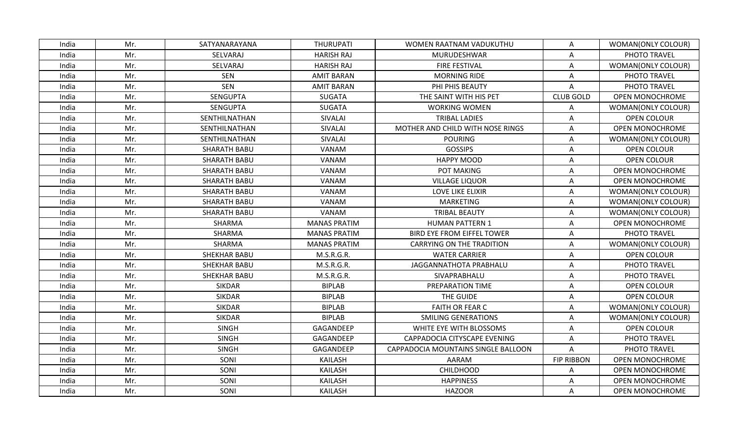| India | Mr. | SATYANARAYANA       | <b>THURUPATI</b>    | WOMEN RAATNAM VADUKUTHU             | Α                 | WOMAN(ONLY COLOUR)     |
|-------|-----|---------------------|---------------------|-------------------------------------|-------------------|------------------------|
| India | Mr. | SELVARAJ            | <b>HARISH RAJ</b>   | MURUDESHWAR                         | Α                 | PHOTO TRAVEL           |
| India | Mr. | SELVARAJ            | <b>HARISH RAJ</b>   | <b>FIRE FESTIVAL</b>                | Α                 | WOMAN(ONLY COLOUR)     |
| India | Mr. | <b>SEN</b>          | <b>AMIT BARAN</b>   | <b>MORNING RIDE</b>                 | Α                 | PHOTO TRAVEL           |
| India | Mr. | <b>SEN</b>          | <b>AMIT BARAN</b>   | PHI PHIS BEAUTY                     | A                 | PHOTO TRAVEL           |
| India | Mr. | <b>SENGUPTA</b>     | <b>SUGATA</b>       | THE SAINT WITH HIS PET              | <b>CLUB GOLD</b>  | OPEN MONOCHROME        |
| India | Mr. | <b>SENGUPTA</b>     | <b>SUGATA</b>       | <b>WORKING WOMEN</b>                | Α                 | WOMAN(ONLY COLOUR)     |
| India | Mr. | SENTHILNATHAN       | SIVALAI             | <b>TRIBAL LADIES</b>                | Α                 | <b>OPEN COLOUR</b>     |
| India | Mr. | SENTHILNATHAN       | SIVALAI             | MOTHER AND CHILD WITH NOSE RINGS    | Α                 | OPEN MONOCHROME        |
| India | Mr. | SENTHILNATHAN       | SIVALAI             | <b>POURING</b>                      | A                 | WOMAN(ONLY COLOUR)     |
| India | Mr. | SHARATH BABU        | VANAM               | <b>GOSSIPS</b>                      | Α                 | OPEN COLOUR            |
| India | Mr. | <b>SHARATH BABU</b> | VANAM               | <b>HAPPY MOOD</b>                   | A                 | OPEN COLOUR            |
| India | Mr. | <b>SHARATH BABU</b> | VANAM               | POT MAKING                          | Α                 | <b>OPEN MONOCHROME</b> |
| India | Mr. | SHARATH BABU        | VANAM               | <b>VILLAGE LIQUOR</b>               | A                 | <b>OPEN MONOCHROME</b> |
| India | Mr. | <b>SHARATH BABU</b> | VANAM               | LOVE LIKE ELIXIR                    | A                 | WOMAN(ONLY COLOUR)     |
| India | Mr. | <b>SHARATH BABU</b> | VANAM               | <b>MARKETING</b>                    | A                 | WOMAN(ONLY COLOUR)     |
| India | Mr. | <b>SHARATH BABU</b> | VANAM               | <b>TRIBAL BEAUTY</b>                | A                 | WOMAN(ONLY COLOUR)     |
| India | Mr. | SHARMA              | <b>MANAS PRATIM</b> | <b>HUMAN PATTERN 1</b>              | A                 | OPEN MONOCHROME        |
| India | Mr. | SHARMA              | <b>MANAS PRATIM</b> | <b>BIRD EYE FROM EIFFEL TOWER</b>   | A                 | PHOTO TRAVEL           |
| India | Mr. | SHARMA              | <b>MANAS PRATIM</b> | <b>CARRYING ON THE TRADITION</b>    | A                 | WOMAN(ONLY COLOUR)     |
| India | Mr. | <b>SHEKHAR BABU</b> | M.S.R.G.R.          | <b>WATER CARRIER</b>                | Α                 | OPEN COLOUR            |
| India | Mr. | SHEKHAR BABU        | M.S.R.G.R.          | JAGGANNATHOTA PRABHALU              | A                 | PHOTO TRAVEL           |
| India | Mr. | <b>SHEKHAR BABU</b> | M.S.R.G.R.          | SIVAPRABHALU                        | Α                 | PHOTO TRAVEL           |
| India | Mr. | <b>SIKDAR</b>       | <b>BIPLAB</b>       | PREPARATION TIME                    | Α                 | OPEN COLOUR            |
| India | Mr. | <b>SIKDAR</b>       | <b>BIPLAB</b>       | THE GUIDE                           | A                 | OPEN COLOUR            |
| India | Mr. | <b>SIKDAR</b>       | <b>BIPLAB</b>       | FAITH OR FEAR C                     | Α                 | WOMAN(ONLY COLOUR)     |
| India | Mr. | <b>SIKDAR</b>       | <b>BIPLAB</b>       | <b>SMILING GENERATIONS</b>          | Α                 | WOMAN(ONLY COLOUR)     |
| India | Mr. | <b>SINGH</b>        | GAGANDEEP           | WHITE EYE WITH BLOSSOMS             | A                 | OPEN COLOUR            |
| India | Mr. | <b>SINGH</b>        | GAGANDEEP           | CAPPADOCIA CITYSCAPE EVENING        | Α                 | PHOTO TRAVEL           |
| India | Mr. | <b>SINGH</b>        | GAGANDEEP           | CAPPADOCIA MOUNTAINS SINGLE BALLOON | A                 | PHOTO TRAVEL           |
| India | Mr. | SONI                | <b>KAILASH</b>      | AARAM                               | <b>FIP RIBBON</b> | OPEN MONOCHROME        |
| India | Mr. | SONI                | <b>KAILASH</b>      | <b>CHILDHOOD</b>                    | Α                 | <b>OPEN MONOCHROME</b> |
| India | Mr. | SONI                | <b>KAILASH</b>      | <b>HAPPINESS</b>                    | Α                 | <b>OPEN MONOCHROME</b> |
| India | Mr. | SONI                | <b>KAILASH</b>      | <b>HAZOOR</b>                       | A                 | <b>OPEN MONOCHROME</b> |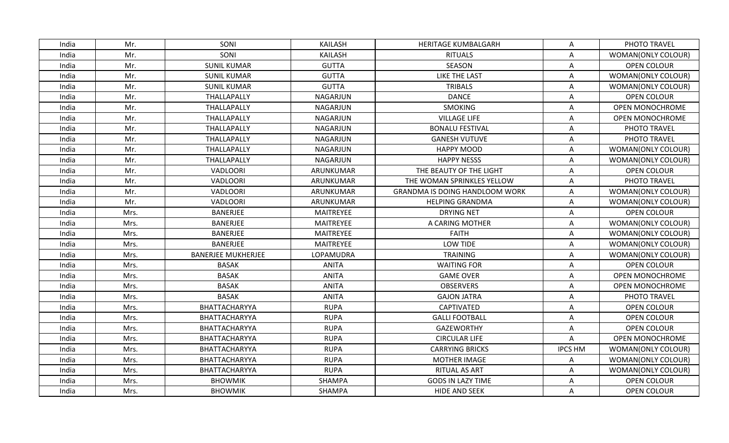| India | Mr.  | SONI                      | <b>KAILASH</b>  | HERITAGE KUMBALGARH                   | Α              | PHOTO TRAVEL           |
|-------|------|---------------------------|-----------------|---------------------------------------|----------------|------------------------|
| India | Mr.  | SONI                      | <b>KAILASH</b>  | <b>RITUALS</b>                        | Α              | WOMAN(ONLY COLOUR)     |
| India | Mr.  | <b>SUNIL KUMAR</b>        | <b>GUTTA</b>    | <b>SEASON</b>                         | Α              | OPEN COLOUR            |
| India | Mr.  | <b>SUNIL KUMAR</b>        | <b>GUTTA</b>    | <b>LIKE THE LAST</b>                  | A              | WOMAN(ONLY COLOUR)     |
| India | Mr.  | <b>SUNIL KUMAR</b>        | <b>GUTTA</b>    | <b>TRIBALS</b>                        | Α              | WOMAN(ONLY COLOUR)     |
| India | Mr.  | THALLAPALLY               | <b>NAGARJUN</b> | <b>DANCE</b>                          | Α              | OPEN COLOUR            |
| India | Mr.  | THALLAPALLY               | <b>NAGARJUN</b> | <b>SMOKING</b>                        | A              | OPEN MONOCHROME        |
| India | Mr.  | THALLAPALLY               | <b>NAGARJUN</b> | <b>VILLAGE LIFE</b>                   | A              | OPEN MONOCHROME        |
| India | Mr.  | THALLAPALLY               | <b>NAGARJUN</b> | <b>BONALU FESTIVAL</b>                | Α              | PHOTO TRAVEL           |
| India | Mr.  | THALLAPALLY               | <b>NAGARJUN</b> | <b>GANESH VUTUVE</b>                  | A              | PHOTO TRAVEL           |
| India | Mr.  | THALLAPALLY               | <b>NAGARJUN</b> | <b>HAPPY MOOD</b>                     | Α              | WOMAN(ONLY COLOUR)     |
| India | Mr.  | THALLAPALLY               | <b>NAGARJUN</b> | <b>HAPPY NESSS</b>                    | A              | WOMAN(ONLY COLOUR)     |
| India | Mr.  | VADLOORI                  | ARUNKUMAR       | THE BEAUTY OF THE LIGHT               | Α              | <b>OPEN COLOUR</b>     |
| India | Mr.  | VADLOORI                  | ARUNKUMAR       | THE WOMAN SPRINKLES YELLOW            | A              | PHOTO TRAVEL           |
| India | Mr.  | VADLOORI                  | ARUNKUMAR       | <b>GRANDMA IS DOING HANDLOOM WORK</b> | Α              | WOMAN(ONLY COLOUR)     |
| India | Mr.  | <b>VADLOORI</b>           | ARUNKUMAR       | <b>HELPING GRANDMA</b>                | Α              | WOMAN(ONLY COLOUR)     |
| India | Mrs. | <b>BANERJEE</b>           | MAITREYEE       | <b>DRYING NET</b>                     | $\mathsf A$    | <b>OPEN COLOUR</b>     |
| India | Mrs. | <b>BANERJEE</b>           | MAITREYEE       | A CARING MOTHER                       | Α              | WOMAN(ONLY COLOUR)     |
| India | Mrs. | <b>BANERJEE</b>           | MAITREYEE       | <b>FAITH</b>                          | A              | WOMAN(ONLY COLOUR)     |
| India | Mrs. | BANERJEE                  | MAITREYEE       | LOW TIDE                              | Α              | WOMAN(ONLY COLOUR)     |
| India | Mrs. | <b>BANERJEE MUKHERJEE</b> | LOPAMUDRA       | <b>TRAINING</b>                       | Α              | WOMAN(ONLY COLOUR)     |
| India | Mrs. | <b>BASAK</b>              | ANITA           | <b>WAITING FOR</b>                    | A              | <b>OPEN COLOUR</b>     |
| India | Mrs. | <b>BASAK</b>              | <b>ANITA</b>    | <b>GAME OVER</b>                      | Α              | <b>OPEN MONOCHROME</b> |
| India | Mrs. | <b>BASAK</b>              | <b>ANITA</b>    | <b>OBSERVERS</b>                      | Α              | OPEN MONOCHROME        |
| India | Mrs. | <b>BASAK</b>              | <b>ANITA</b>    | <b>GAJON JATRA</b>                    | Α              | PHOTO TRAVEL           |
| India | Mrs. | BHATTACHARYYA             | <b>RUPA</b>     | CAPTIVATED                            | Α              | OPEN COLOUR            |
| India | Mrs. | BHATTACHARYYA             | <b>RUPA</b>     | <b>GALLI FOOTBALL</b>                 | A              | <b>OPEN COLOUR</b>     |
| India | Mrs. | BHATTACHARYYA             | <b>RUPA</b>     | <b>GAZEWORTHY</b>                     | Α              | OPEN COLOUR            |
| India | Mrs. | BHATTACHARYYA             | <b>RUPA</b>     | <b>CIRCULAR LIFE</b>                  | A              | <b>OPEN MONOCHROME</b> |
| India | Mrs. | BHATTACHARYYA             | <b>RUPA</b>     | <b>CARRYING BRICKS</b>                | <b>IPCS HM</b> | WOMAN(ONLY COLOUR)     |
| India | Mrs. | BHATTACHARYYA             | <b>RUPA</b>     | <b>MOTHER IMAGE</b>                   | Α              | WOMAN(ONLY COLOUR)     |
| India | Mrs. | BHATTACHARYYA             | <b>RUPA</b>     | RITUAL AS ART                         | A              | WOMAN(ONLY COLOUR)     |
| India | Mrs. | <b>BHOWMIK</b>            | SHAMPA          | <b>GODS IN LAZY TIME</b>              | A              | <b>OPEN COLOUR</b>     |
| India | Mrs. | <b>BHOWMIK</b>            | SHAMPA          | <b>HIDE AND SEEK</b>                  | A              | <b>OPEN COLOUR</b>     |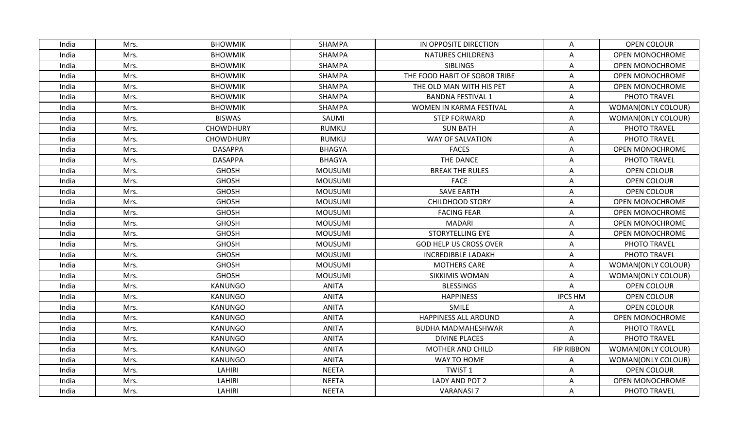| India | Mrs. | <b>BHOWMIK</b>   | <b>SHAMPA</b>  | IN OPPOSITE DIRECTION         | Α                 | <b>OPEN COLOUR</b>     |
|-------|------|------------------|----------------|-------------------------------|-------------------|------------------------|
| India | Mrs. | <b>BHOWMIK</b>   | SHAMPA         | <b>NATURES CHILDREN3</b>      | A                 | OPEN MONOCHROME        |
| India | Mrs. | <b>BHOWMIK</b>   | <b>SHAMPA</b>  | <b>SIBLINGS</b>               | Α                 | <b>OPEN MONOCHROME</b> |
| India | Mrs. | <b>BHOWMIK</b>   | SHAMPA         | THE FOOD HABIT OF SOBOR TRIBE | Α                 | <b>OPEN MONOCHROME</b> |
| India | Mrs. | <b>BHOWMIK</b>   | <b>SHAMPA</b>  | THE OLD MAN WITH HIS PET      | Α                 | OPEN MONOCHROME        |
| India | Mrs. | <b>BHOWMIK</b>   | SHAMPA         | <b>BANDNA FESTIVAL 1</b>      | Α                 | PHOTO TRAVEL           |
| India | Mrs. | <b>BHOWMIK</b>   | SHAMPA         | WOMEN IN KARMA FESTIVAL       | A                 | WOMAN(ONLY COLOUR)     |
| India | Mrs. | <b>BISWAS</b>    | SAUMI          | <b>STEP FORWARD</b>           | Α                 | WOMAN(ONLY COLOUR)     |
| India | Mrs. | <b>CHOWDHURY</b> | <b>RUMKU</b>   | <b>SUN BATH</b>               | Α                 | PHOTO TRAVEL           |
| India | Mrs. | <b>CHOWDHURY</b> | <b>RUMKU</b>   | <b>WAY OF SALVATION</b>       | A                 | PHOTO TRAVEL           |
| India | Mrs. | <b>DASAPPA</b>   | <b>BHAGYA</b>  | <b>FACES</b>                  | Α                 | OPEN MONOCHROME        |
| India | Mrs. | <b>DASAPPA</b>   | <b>BHAGYA</b>  | THE DANCE                     | A                 | PHOTO TRAVEL           |
| India | Mrs. | <b>GHOSH</b>     | <b>MOUSUMI</b> | <b>BREAK THE RULES</b>        | Α                 | <b>OPEN COLOUR</b>     |
| India | Mrs. | <b>GHOSH</b>     | <b>MOUSUMI</b> | <b>FACE</b>                   | Α                 | OPEN COLOUR            |
| India | Mrs. | <b>GHOSH</b>     | <b>MOUSUMI</b> | <b>SAVE EARTH</b>             | A                 | OPEN COLOUR            |
| India | Mrs. | <b>GHOSH</b>     | <b>MOUSUMI</b> | <b>CHILDHOOD STORY</b>        | Α                 | OPEN MONOCHROME        |
| India | Mrs. | <b>GHOSH</b>     | <b>MOUSUMI</b> | <b>FACING FEAR</b>            | A                 | OPEN MONOCHROME        |
| India | Mrs. | <b>GHOSH</b>     | <b>MOUSUMI</b> | <b>MADARI</b>                 | A                 | OPEN MONOCHROME        |
| India | Mrs. | <b>GHOSH</b>     | <b>MOUSUMI</b> | STORYTELLING EYE              | Α                 | <b>OPEN MONOCHROME</b> |
| India | Mrs. | <b>GHOSH</b>     | <b>MOUSUMI</b> | <b>GOD HELP US CROSS OVER</b> | Α                 | PHOTO TRAVEL           |
| India | Mrs. | <b>GHOSH</b>     | <b>MOUSUMI</b> | <b>INCREDIBBLE LADAKH</b>     | Α                 | PHOTO TRAVEL           |
| India | Mrs. | <b>GHOSH</b>     | <b>MOUSUMI</b> | <b>MOTHERS CARE</b>           | A                 | WOMAN(ONLY COLOUR)     |
| India | Mrs. | <b>GHOSH</b>     | <b>MOUSUMI</b> | <b>SIKKIMIS WOMAN</b>         | A                 | WOMAN(ONLY COLOUR)     |
| India | Mrs. | KANUNGO          | <b>ANITA</b>   | <b>BLESSINGS</b>              | Α                 | OPEN COLOUR            |
| India | Mrs. | <b>KANUNGO</b>   | <b>ANITA</b>   | <b>HAPPINESS</b>              | <b>IPCS HM</b>    | OPEN COLOUR            |
| India | Mrs. | <b>KANUNGO</b>   | <b>ANITA</b>   | SMILE                         | Α                 | <b>OPEN COLOUR</b>     |
| India | Mrs. | <b>KANUNGO</b>   | <b>ANITA</b>   | <b>HAPPINESS ALL AROUND</b>   | A                 | OPEN MONOCHROME        |
| India | Mrs. | <b>KANUNGO</b>   | <b>ANITA</b>   | <b>BUDHA MADMAHESHWAR</b>     | Α                 | PHOTO TRAVEL           |
| India | Mrs. | <b>KANUNGO</b>   | <b>ANITA</b>   | <b>DIVINE PLACES</b>          | Α                 | PHOTO TRAVEL           |
| India | Mrs. | <b>KANUNGO</b>   | <b>ANITA</b>   | MOTHER AND CHILD              | <b>FIP RIBBON</b> | WOMAN(ONLY COLOUR)     |
| India | Mrs. | <b>KANUNGO</b>   | <b>ANITA</b>   | WAY TO HOME                   | Α                 | WOMAN(ONLY COLOUR)     |
| India | Mrs. | LAHIRI           | <b>NEETA</b>   | <b>TWIST 1</b>                | Α                 | OPEN COLOUR            |
| India | Mrs. | LAHIRI           | <b>NEETA</b>   | LADY AND POT 2                | A                 | <b>OPEN MONOCHROME</b> |
| India | Mrs. | LAHIRI           | <b>NEETA</b>   | <b>VARANASI 7</b>             | Α                 | PHOTO TRAVEL           |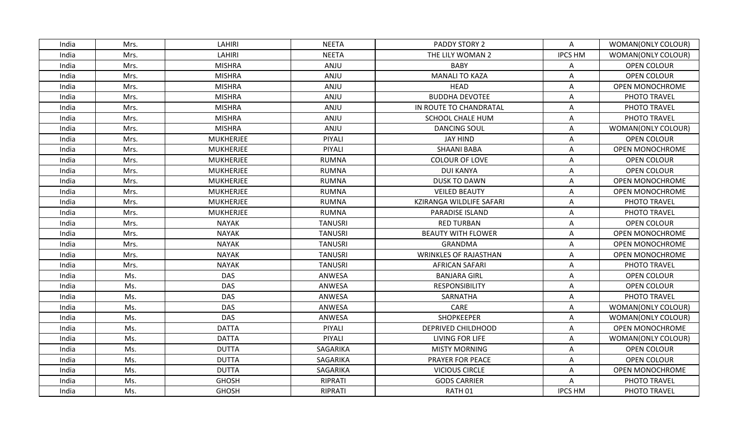| India | Mrs. | LAHIRI           | <b>NEETA</b>   | PADDY STORY 2                | $\mathsf{A}$   | WOMAN(ONLY COLOUR)        |
|-------|------|------------------|----------------|------------------------------|----------------|---------------------------|
| India | Mrs. | <b>LAHIRI</b>    | <b>NEETA</b>   | THE LILY WOMAN 2             | <b>IPCS HM</b> | WOMAN(ONLY COLOUR)        |
| India | Mrs. | <b>MISHRA</b>    | ANJU           | <b>BABY</b>                  | Α              | OPEN COLOUR               |
| India | Mrs. | <b>MISHRA</b>    | ANJU           | <b>MANALI TO KAZA</b>        | Α              | OPEN COLOUR               |
| India | Mrs. | <b>MISHRA</b>    | ANJU           | <b>HEAD</b>                  | A              | <b>OPEN MONOCHROME</b>    |
| India | Mrs. | <b>MISHRA</b>    | ANJU           | <b>BUDDHA DEVOTEE</b>        | Α              | PHOTO TRAVEL              |
| India | Mrs. | <b>MISHRA</b>    | ANJU           | IN ROUTE TO CHANDRATAL       | Α              | PHOTO TRAVEL              |
| India | Mrs. | <b>MISHRA</b>    | ANJU           | SCHOOL CHALE HUM             | Α              | PHOTO TRAVEL              |
| India | Mrs. | <b>MISHRA</b>    | ANJU           | <b>DANCING SOUL</b>          | A              | <b>WOMAN(ONLY COLOUR)</b> |
| India | Mrs. | <b>MUKHERJEE</b> | PIYALI         | <b>JAY HIND</b>              | Α              | <b>OPEN COLOUR</b>        |
| India | Mrs. | <b>MUKHERJEE</b> | PIYALI         | <b>SHAANI BABA</b>           | A              | OPEN MONOCHROME           |
| India | Mrs. | <b>MUKHERJEE</b> | <b>RUMNA</b>   | COLOUR OF LOVE               | Α              | OPEN COLOUR               |
| India | Mrs. | <b>MUKHERJEE</b> | <b>RUMNA</b>   | <b>DUI KANYA</b>             | A              | OPEN COLOUR               |
| India | Mrs. | <b>MUKHERJEE</b> | <b>RUMNA</b>   | <b>DUSK TO DAWN</b>          | A              | OPEN MONOCHROME           |
| India | Mrs. | <b>MUKHERJEE</b> | <b>RUMNA</b>   | <b>VEILED BEAUTY</b>         | A              | OPEN MONOCHROME           |
| India | Mrs. | <b>MUKHERJEE</b> | <b>RUMNA</b>   | KZIRANGA WILDLIFE SAFARI     | Α              | PHOTO TRAVEL              |
| India | Mrs. | <b>MUKHERJEE</b> | <b>RUMNA</b>   | PARADISE ISLAND              | Α              | PHOTO TRAVEL              |
| India | Mrs. | <b>NAYAK</b>     | <b>TANUSRI</b> | <b>RED TURBAN</b>            | Α              | OPEN COLOUR               |
| India | Mrs. | <b>NAYAK</b>     | <b>TANUSRI</b> | <b>BEAUTY WITH FLOWER</b>    | A              | OPEN MONOCHROME           |
| India | Mrs. | <b>NAYAK</b>     | <b>TANUSRI</b> | <b>GRANDMA</b>               | A              | OPEN MONOCHROME           |
| India | Mrs. | <b>NAYAK</b>     | TANUSRI        | <b>WRINKLES OF RAJASTHAN</b> | Α              | OPEN MONOCHROME           |
| India | Mrs. | <b>NAYAK</b>     | <b>TANUSRI</b> | <b>AFRICAN SAFARI</b>        | Α              | PHOTO TRAVEL              |
| India | Ms.  | <b>DAS</b>       | ANWESA         | <b>BANJARA GIRL</b>          | Α              | OPEN COLOUR               |
| India | Ms.  | <b>DAS</b>       | ANWESA         | <b>RESPONSIBILITY</b>        | A              | <b>OPEN COLOUR</b>        |
| India | Ms.  | <b>DAS</b>       | ANWESA         | SARNATHA                     | A              | PHOTO TRAVEL              |
| India | Ms.  | <b>DAS</b>       | ANWESA         | CARE                         | Α              | WOMAN(ONLY COLOUR)        |
| India | Ms.  | <b>DAS</b>       | ANWESA         | <b>SHOPKEEPER</b>            | A              | WOMAN(ONLY COLOUR)        |
| India | Ms.  | <b>DATTA</b>     | PIYALI         | DEPRIVED CHILDHOOD           | A              | OPEN MONOCHROME           |
| India | Ms.  | <b>DATTA</b>     | PIYALI         | LIVING FOR LIFE              | A              | WOMAN(ONLY COLOUR)        |
| India | Ms.  | <b>DUTTA</b>     | SAGARIKA       | <b>MISTY MORNING</b>         | A              | OPEN COLOUR               |
| India | Ms.  | <b>DUTTA</b>     | SAGARIKA       | PRAYER FOR PEACE             | Α              | OPEN COLOUR               |
| India | Ms.  | <b>DUTTA</b>     | SAGARIKA       | <b>VICIOUS CIRCLE</b>        | Α              | OPEN MONOCHROME           |
| India | Ms.  | <b>GHOSH</b>     | RIPRATI        | <b>GODS CARRIER</b>          | Α              | PHOTO TRAVEL              |
| India | Ms.  | <b>GHOSH</b>     | <b>RIPRATI</b> | RATH <sub>01</sub>           | <b>IPCS HM</b> | PHOTO TRAVEL              |